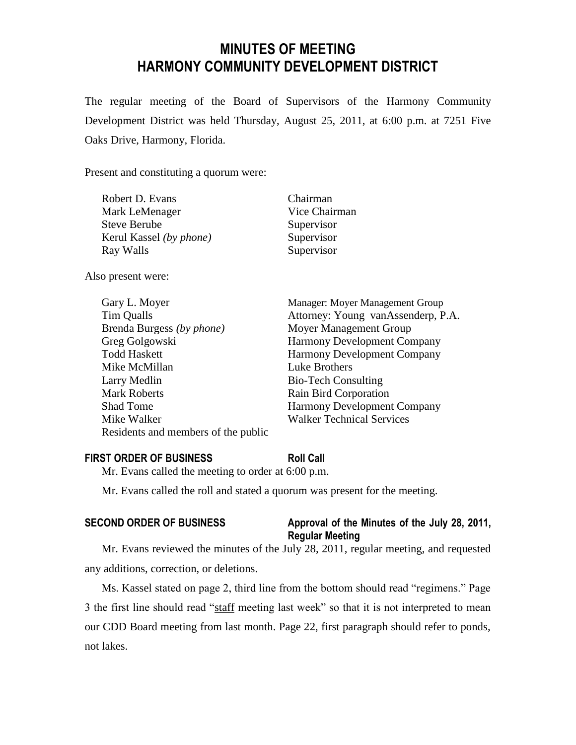# **MINUTES OF MEETING HARMONY COMMUNITY DEVELOPMENT DISTRICT**

The regular meeting of the Board of Supervisors of the Harmony Community Development District was held Thursday, August 25, 2011, at 6:00 p.m. at 7251 Five Oaks Drive, Harmony, Florida.

Present and constituting a quorum were:

| Robert D. Evans                | Chairman      |
|--------------------------------|---------------|
| Mark LeMenager                 | Vice Chairman |
| Steve Berube                   | Supervisor    |
| Kerul Kassel <i>(by phone)</i> | Supervisor    |
| Ray Walls                      | Supervisor    |
|                                |               |

Also present were:

| Gary L. Moyer                       | Manager: Moyer Management Group    |
|-------------------------------------|------------------------------------|
| Tim Qualls                          | Attorney: Young vanAssenderp, P.A. |
| Brenda Burgess (by phone)           | Moyer Management Group             |
| Greg Golgowski                      | <b>Harmony Development Company</b> |
| <b>Todd Haskett</b>                 | <b>Harmony Development Company</b> |
| Mike McMillan                       | Luke Brothers                      |
| Larry Medlin                        | <b>Bio-Tech Consulting</b>         |
| <b>Mark Roberts</b>                 | Rain Bird Corporation              |
| <b>Shad Tome</b>                    | <b>Harmony Development Company</b> |
| Mike Walker                         | <b>Walker Technical Services</b>   |
| Residents and members of the public |                                    |

## **FIRST ORDER OF BUSINESS Roll Call**

Mr. Evans called the meeting to order at 6:00 p.m.

Mr. Evans called the roll and stated a quorum was present for the meeting.

## **SECOND ORDER OF BUSINESS Approval of the Minutes of the July 28, 2011, Regular Meeting**

Mr. Evans reviewed the minutes of the July 28, 2011, regular meeting, and requested any additions, correction, or deletions.

Ms. Kassel stated on page 2, third line from the bottom should read "regimens." Page 3 the first line should read "staff meeting last week" so that it is not interpreted to mean our CDD Board meeting from last month. Page 22, first paragraph should refer to ponds, not lakes.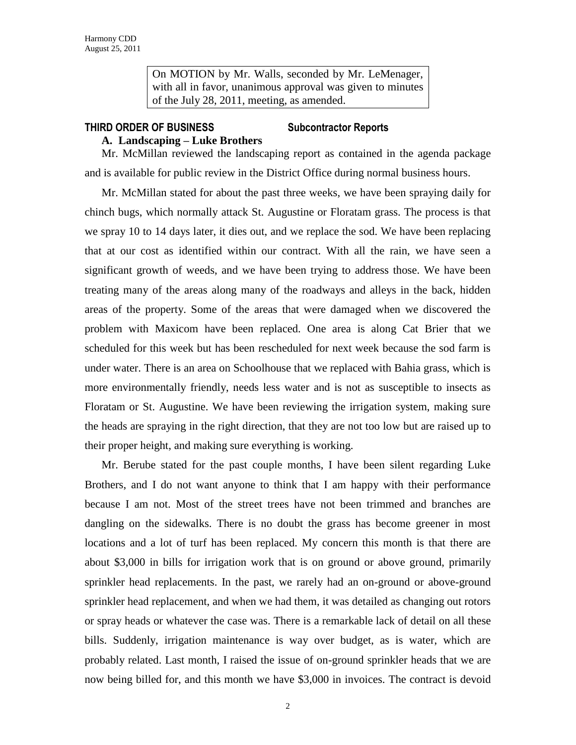On MOTION by Mr. Walls, seconded by Mr. LeMenager, with all in favor, unanimous approval was given to minutes of the July 28, 2011, meeting, as amended.

## **THIRD ORDER OF BUSINESS Subcontractor Reports**

## **A. Landscaping – Luke Brothers**

Mr. McMillan reviewed the landscaping report as contained in the agenda package and is available for public review in the District Office during normal business hours.

Mr. McMillan stated for about the past three weeks, we have been spraying daily for chinch bugs, which normally attack St. Augustine or Floratam grass. The process is that we spray 10 to 14 days later, it dies out, and we replace the sod. We have been replacing that at our cost as identified within our contract. With all the rain, we have seen a significant growth of weeds, and we have been trying to address those. We have been treating many of the areas along many of the roadways and alleys in the back, hidden areas of the property. Some of the areas that were damaged when we discovered the problem with Maxicom have been replaced. One area is along Cat Brier that we scheduled for this week but has been rescheduled for next week because the sod farm is under water. There is an area on Schoolhouse that we replaced with Bahia grass, which is more environmentally friendly, needs less water and is not as susceptible to insects as Floratam or St. Augustine. We have been reviewing the irrigation system, making sure the heads are spraying in the right direction, that they are not too low but are raised up to their proper height, and making sure everything is working.

Mr. Berube stated for the past couple months, I have been silent regarding Luke Brothers, and I do not want anyone to think that I am happy with their performance because I am not. Most of the street trees have not been trimmed and branches are dangling on the sidewalks. There is no doubt the grass has become greener in most locations and a lot of turf has been replaced. My concern this month is that there are about \$3,000 in bills for irrigation work that is on ground or above ground, primarily sprinkler head replacements. In the past, we rarely had an on-ground or above-ground sprinkler head replacement, and when we had them, it was detailed as changing out rotors or spray heads or whatever the case was. There is a remarkable lack of detail on all these bills. Suddenly, irrigation maintenance is way over budget, as is water, which are probably related. Last month, I raised the issue of on-ground sprinkler heads that we are now being billed for, and this month we have \$3,000 in invoices. The contract is devoid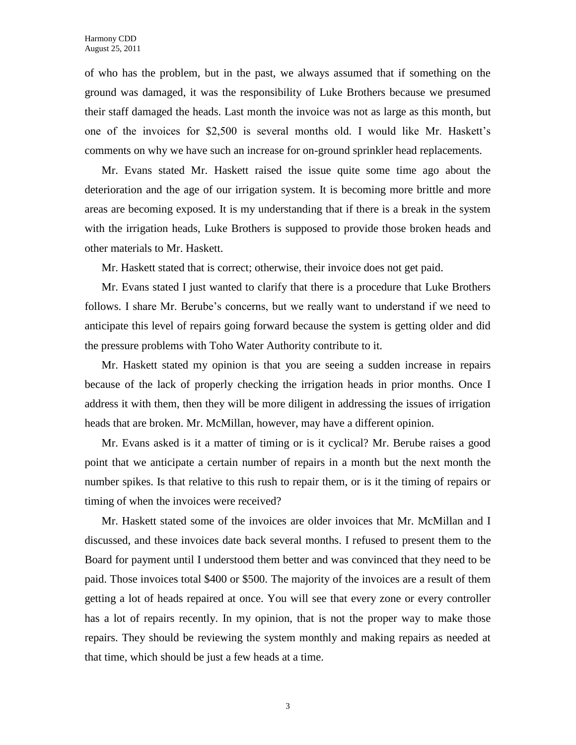of who has the problem, but in the past, we always assumed that if something on the ground was damaged, it was the responsibility of Luke Brothers because we presumed their staff damaged the heads. Last month the invoice was not as large as this month, but one of the invoices for \$2,500 is several months old. I would like Mr. Haskett's comments on why we have such an increase for on-ground sprinkler head replacements.

Mr. Evans stated Mr. Haskett raised the issue quite some time ago about the deterioration and the age of our irrigation system. It is becoming more brittle and more areas are becoming exposed. It is my understanding that if there is a break in the system with the irrigation heads, Luke Brothers is supposed to provide those broken heads and other materials to Mr. Haskett.

Mr. Haskett stated that is correct; otherwise, their invoice does not get paid.

Mr. Evans stated I just wanted to clarify that there is a procedure that Luke Brothers follows. I share Mr. Berube's concerns, but we really want to understand if we need to anticipate this level of repairs going forward because the system is getting older and did the pressure problems with Toho Water Authority contribute to it.

Mr. Haskett stated my opinion is that you are seeing a sudden increase in repairs because of the lack of properly checking the irrigation heads in prior months. Once I address it with them, then they will be more diligent in addressing the issues of irrigation heads that are broken. Mr. McMillan, however, may have a different opinion.

Mr. Evans asked is it a matter of timing or is it cyclical? Mr. Berube raises a good point that we anticipate a certain number of repairs in a month but the next month the number spikes. Is that relative to this rush to repair them, or is it the timing of repairs or timing of when the invoices were received?

Mr. Haskett stated some of the invoices are older invoices that Mr. McMillan and I discussed, and these invoices date back several months. I refused to present them to the Board for payment until I understood them better and was convinced that they need to be paid. Those invoices total \$400 or \$500. The majority of the invoices are a result of them getting a lot of heads repaired at once. You will see that every zone or every controller has a lot of repairs recently. In my opinion, that is not the proper way to make those repairs. They should be reviewing the system monthly and making repairs as needed at that time, which should be just a few heads at a time.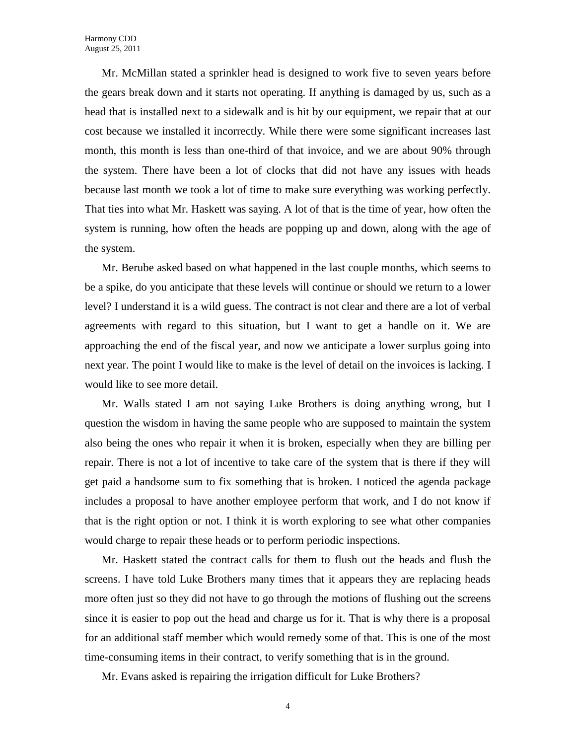Mr. McMillan stated a sprinkler head is designed to work five to seven years before the gears break down and it starts not operating. If anything is damaged by us, such as a head that is installed next to a sidewalk and is hit by our equipment, we repair that at our cost because we installed it incorrectly. While there were some significant increases last month, this month is less than one-third of that invoice, and we are about 90% through the system. There have been a lot of clocks that did not have any issues with heads because last month we took a lot of time to make sure everything was working perfectly. That ties into what Mr. Haskett was saying. A lot of that is the time of year, how often the system is running, how often the heads are popping up and down, along with the age of the system.

Mr. Berube asked based on what happened in the last couple months, which seems to be a spike, do you anticipate that these levels will continue or should we return to a lower level? I understand it is a wild guess. The contract is not clear and there are a lot of verbal agreements with regard to this situation, but I want to get a handle on it. We are approaching the end of the fiscal year, and now we anticipate a lower surplus going into next year. The point I would like to make is the level of detail on the invoices is lacking. I would like to see more detail.

Mr. Walls stated I am not saying Luke Brothers is doing anything wrong, but I question the wisdom in having the same people who are supposed to maintain the system also being the ones who repair it when it is broken, especially when they are billing per repair. There is not a lot of incentive to take care of the system that is there if they will get paid a handsome sum to fix something that is broken. I noticed the agenda package includes a proposal to have another employee perform that work, and I do not know if that is the right option or not. I think it is worth exploring to see what other companies would charge to repair these heads or to perform periodic inspections.

Mr. Haskett stated the contract calls for them to flush out the heads and flush the screens. I have told Luke Brothers many times that it appears they are replacing heads more often just so they did not have to go through the motions of flushing out the screens since it is easier to pop out the head and charge us for it. That is why there is a proposal for an additional staff member which would remedy some of that. This is one of the most time-consuming items in their contract, to verify something that is in the ground.

Mr. Evans asked is repairing the irrigation difficult for Luke Brothers?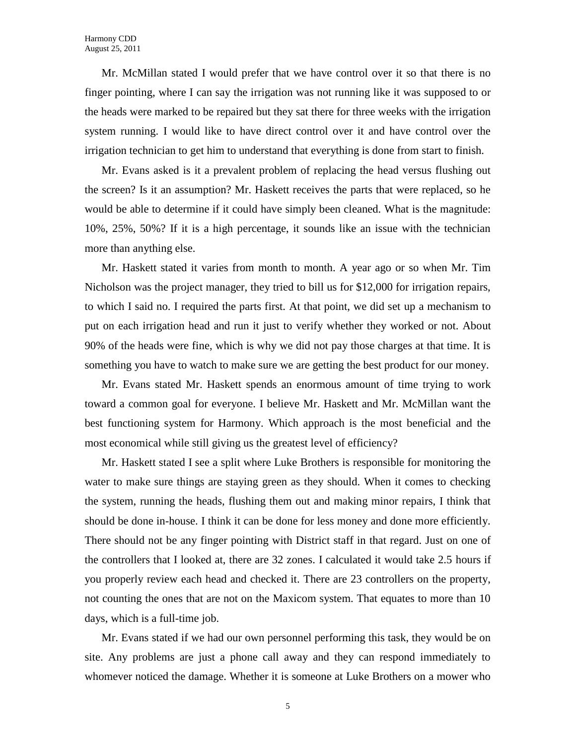Mr. McMillan stated I would prefer that we have control over it so that there is no finger pointing, where I can say the irrigation was not running like it was supposed to or the heads were marked to be repaired but they sat there for three weeks with the irrigation system running. I would like to have direct control over it and have control over the irrigation technician to get him to understand that everything is done from start to finish.

Mr. Evans asked is it a prevalent problem of replacing the head versus flushing out the screen? Is it an assumption? Mr. Haskett receives the parts that were replaced, so he would be able to determine if it could have simply been cleaned. What is the magnitude: 10%, 25%, 50%? If it is a high percentage, it sounds like an issue with the technician more than anything else.

Mr. Haskett stated it varies from month to month. A year ago or so when Mr. Tim Nicholson was the project manager, they tried to bill us for \$12,000 for irrigation repairs, to which I said no. I required the parts first. At that point, we did set up a mechanism to put on each irrigation head and run it just to verify whether they worked or not. About 90% of the heads were fine, which is why we did not pay those charges at that time. It is something you have to watch to make sure we are getting the best product for our money.

Mr. Evans stated Mr. Haskett spends an enormous amount of time trying to work toward a common goal for everyone. I believe Mr. Haskett and Mr. McMillan want the best functioning system for Harmony. Which approach is the most beneficial and the most economical while still giving us the greatest level of efficiency?

Mr. Haskett stated I see a split where Luke Brothers is responsible for monitoring the water to make sure things are staying green as they should. When it comes to checking the system, running the heads, flushing them out and making minor repairs, I think that should be done in-house. I think it can be done for less money and done more efficiently. There should not be any finger pointing with District staff in that regard. Just on one of the controllers that I looked at, there are 32 zones. I calculated it would take 2.5 hours if you properly review each head and checked it. There are 23 controllers on the property, not counting the ones that are not on the Maxicom system. That equates to more than 10 days, which is a full-time job.

Mr. Evans stated if we had our own personnel performing this task, they would be on site. Any problems are just a phone call away and they can respond immediately to whomever noticed the damage. Whether it is someone at Luke Brothers on a mower who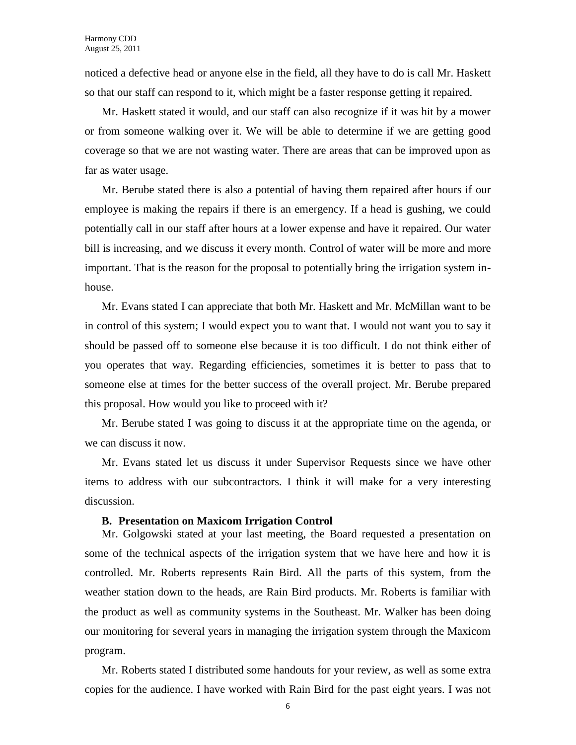noticed a defective head or anyone else in the field, all they have to do is call Mr. Haskett so that our staff can respond to it, which might be a faster response getting it repaired.

Mr. Haskett stated it would, and our staff can also recognize if it was hit by a mower or from someone walking over it. We will be able to determine if we are getting good coverage so that we are not wasting water. There are areas that can be improved upon as far as water usage.

Mr. Berube stated there is also a potential of having them repaired after hours if our employee is making the repairs if there is an emergency. If a head is gushing, we could potentially call in our staff after hours at a lower expense and have it repaired. Our water bill is increasing, and we discuss it every month. Control of water will be more and more important. That is the reason for the proposal to potentially bring the irrigation system inhouse.

Mr. Evans stated I can appreciate that both Mr. Haskett and Mr. McMillan want to be in control of this system; I would expect you to want that. I would not want you to say it should be passed off to someone else because it is too difficult. I do not think either of you operates that way. Regarding efficiencies, sometimes it is better to pass that to someone else at times for the better success of the overall project. Mr. Berube prepared this proposal. How would you like to proceed with it?

Mr. Berube stated I was going to discuss it at the appropriate time on the agenda, or we can discuss it now.

Mr. Evans stated let us discuss it under Supervisor Requests since we have other items to address with our subcontractors. I think it will make for a very interesting discussion.

#### **B. Presentation on Maxicom Irrigation Control**

Mr. Golgowski stated at your last meeting, the Board requested a presentation on some of the technical aspects of the irrigation system that we have here and how it is controlled. Mr. Roberts represents Rain Bird. All the parts of this system, from the weather station down to the heads, are Rain Bird products. Mr. Roberts is familiar with the product as well as community systems in the Southeast. Mr. Walker has been doing our monitoring for several years in managing the irrigation system through the Maxicom program.

Mr. Roberts stated I distributed some handouts for your review, as well as some extra copies for the audience. I have worked with Rain Bird for the past eight years. I was not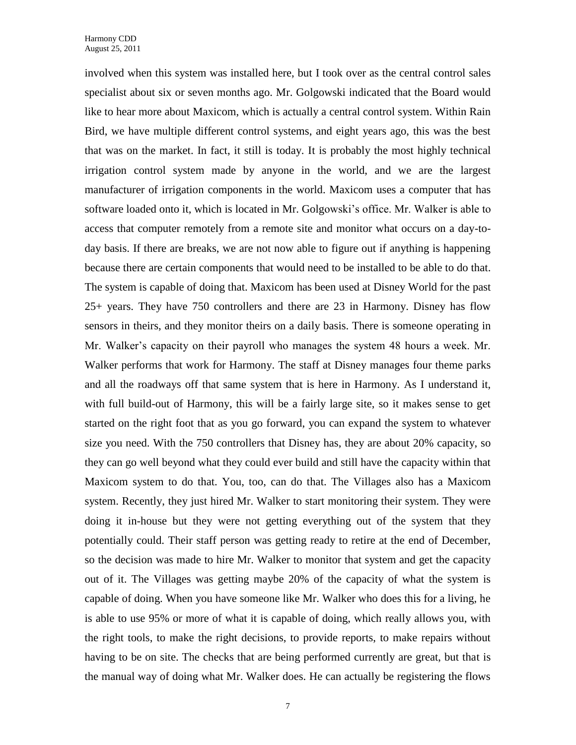involved when this system was installed here, but I took over as the central control sales specialist about six or seven months ago. Mr. Golgowski indicated that the Board would like to hear more about Maxicom, which is actually a central control system. Within Rain Bird, we have multiple different control systems, and eight years ago, this was the best that was on the market. In fact, it still is today. It is probably the most highly technical irrigation control system made by anyone in the world, and we are the largest manufacturer of irrigation components in the world. Maxicom uses a computer that has software loaded onto it, which is located in Mr. Golgowski's office. Mr. Walker is able to access that computer remotely from a remote site and monitor what occurs on a day-today basis. If there are breaks, we are not now able to figure out if anything is happening because there are certain components that would need to be installed to be able to do that. The system is capable of doing that. Maxicom has been used at Disney World for the past 25+ years. They have 750 controllers and there are 23 in Harmony. Disney has flow sensors in theirs, and they monitor theirs on a daily basis. There is someone operating in Mr. Walker's capacity on their payroll who manages the system 48 hours a week. Mr. Walker performs that work for Harmony. The staff at Disney manages four theme parks and all the roadways off that same system that is here in Harmony. As I understand it, with full build-out of Harmony, this will be a fairly large site, so it makes sense to get started on the right foot that as you go forward, you can expand the system to whatever size you need. With the 750 controllers that Disney has, they are about 20% capacity, so they can go well beyond what they could ever build and still have the capacity within that Maxicom system to do that. You, too, can do that. The Villages also has a Maxicom system. Recently, they just hired Mr. Walker to start monitoring their system. They were doing it in-house but they were not getting everything out of the system that they potentially could. Their staff person was getting ready to retire at the end of December, so the decision was made to hire Mr. Walker to monitor that system and get the capacity out of it. The Villages was getting maybe 20% of the capacity of what the system is capable of doing. When you have someone like Mr. Walker who does this for a living, he is able to use 95% or more of what it is capable of doing, which really allows you, with the right tools, to make the right decisions, to provide reports, to make repairs without having to be on site. The checks that are being performed currently are great, but that is the manual way of doing what Mr. Walker does. He can actually be registering the flows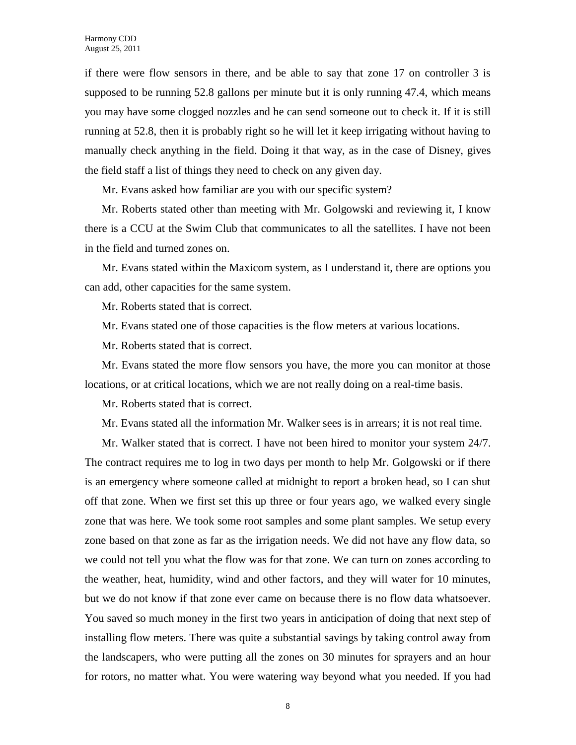if there were flow sensors in there, and be able to say that zone 17 on controller 3 is supposed to be running 52.8 gallons per minute but it is only running 47.4, which means you may have some clogged nozzles and he can send someone out to check it. If it is still running at 52.8, then it is probably right so he will let it keep irrigating without having to manually check anything in the field. Doing it that way, as in the case of Disney, gives the field staff a list of things they need to check on any given day.

Mr. Evans asked how familiar are you with our specific system?

Mr. Roberts stated other than meeting with Mr. Golgowski and reviewing it, I know there is a CCU at the Swim Club that communicates to all the satellites. I have not been in the field and turned zones on.

Mr. Evans stated within the Maxicom system, as I understand it, there are options you can add, other capacities for the same system.

Mr. Roberts stated that is correct.

Mr. Evans stated one of those capacities is the flow meters at various locations.

Mr. Roberts stated that is correct.

Mr. Evans stated the more flow sensors you have, the more you can monitor at those locations, or at critical locations, which we are not really doing on a real-time basis.

Mr. Roberts stated that is correct.

Mr. Evans stated all the information Mr. Walker sees is in arrears; it is not real time.

Mr. Walker stated that is correct. I have not been hired to monitor your system 24/7. The contract requires me to log in two days per month to help Mr. Golgowski or if there is an emergency where someone called at midnight to report a broken head, so I can shut off that zone. When we first set this up three or four years ago, we walked every single zone that was here. We took some root samples and some plant samples. We setup every zone based on that zone as far as the irrigation needs. We did not have any flow data, so we could not tell you what the flow was for that zone. We can turn on zones according to the weather, heat, humidity, wind and other factors, and they will water for 10 minutes, but we do not know if that zone ever came on because there is no flow data whatsoever. You saved so much money in the first two years in anticipation of doing that next step of installing flow meters. There was quite a substantial savings by taking control away from the landscapers, who were putting all the zones on 30 minutes for sprayers and an hour for rotors, no matter what. You were watering way beyond what you needed. If you had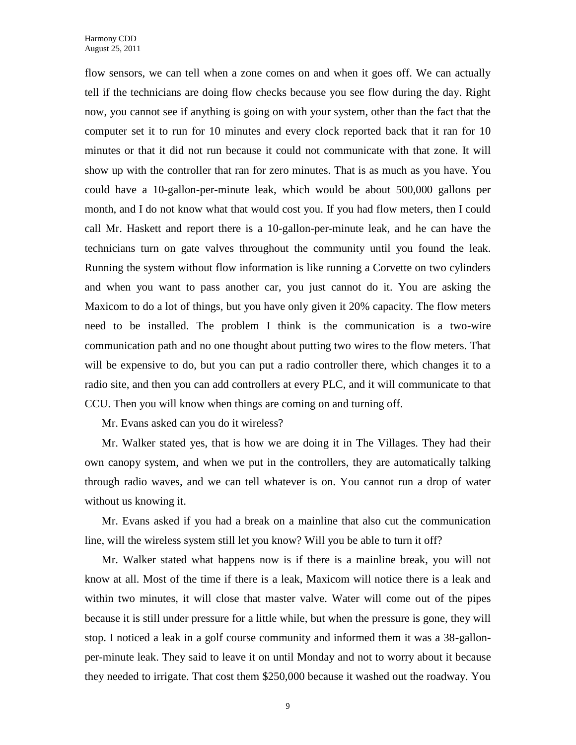flow sensors, we can tell when a zone comes on and when it goes off. We can actually tell if the technicians are doing flow checks because you see flow during the day. Right now, you cannot see if anything is going on with your system, other than the fact that the computer set it to run for 10 minutes and every clock reported back that it ran for 10 minutes or that it did not run because it could not communicate with that zone. It will show up with the controller that ran for zero minutes. That is as much as you have. You could have a 10-gallon-per-minute leak, which would be about 500,000 gallons per month, and I do not know what that would cost you. If you had flow meters, then I could call Mr. Haskett and report there is a 10-gallon-per-minute leak, and he can have the technicians turn on gate valves throughout the community until you found the leak. Running the system without flow information is like running a Corvette on two cylinders and when you want to pass another car, you just cannot do it. You are asking the Maxicom to do a lot of things, but you have only given it 20% capacity. The flow meters need to be installed. The problem I think is the communication is a two-wire communication path and no one thought about putting two wires to the flow meters. That will be expensive to do, but you can put a radio controller there, which changes it to a radio site, and then you can add controllers at every PLC, and it will communicate to that CCU. Then you will know when things are coming on and turning off.

Mr. Evans asked can you do it wireless?

Mr. Walker stated yes, that is how we are doing it in The Villages. They had their own canopy system, and when we put in the controllers, they are automatically talking through radio waves, and we can tell whatever is on. You cannot run a drop of water without us knowing it.

Mr. Evans asked if you had a break on a mainline that also cut the communication line, will the wireless system still let you know? Will you be able to turn it off?

Mr. Walker stated what happens now is if there is a mainline break, you will not know at all. Most of the time if there is a leak, Maxicom will notice there is a leak and within two minutes, it will close that master valve. Water will come out of the pipes because it is still under pressure for a little while, but when the pressure is gone, they will stop. I noticed a leak in a golf course community and informed them it was a 38-gallonper-minute leak. They said to leave it on until Monday and not to worry about it because they needed to irrigate. That cost them \$250,000 because it washed out the roadway. You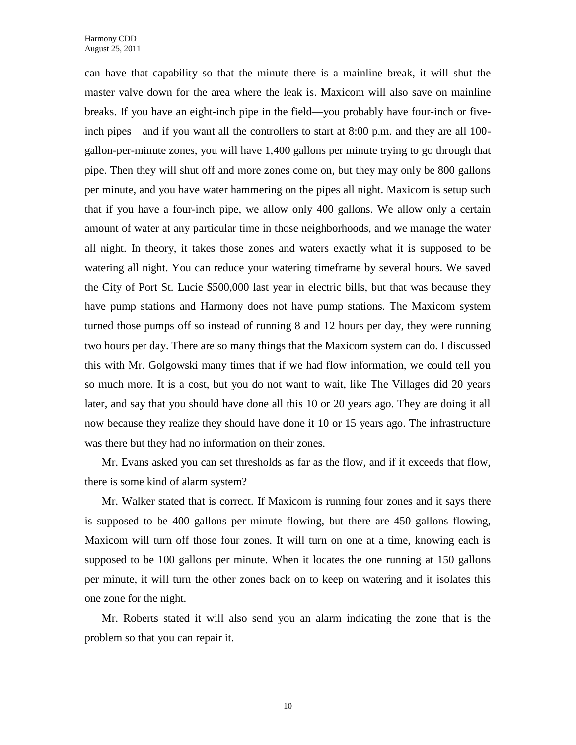can have that capability so that the minute there is a mainline break, it will shut the master valve down for the area where the leak is. Maxicom will also save on mainline breaks. If you have an eight-inch pipe in the field—you probably have four-inch or fiveinch pipes—and if you want all the controllers to start at 8:00 p.m. and they are all 100 gallon-per-minute zones, you will have 1,400 gallons per minute trying to go through that pipe. Then they will shut off and more zones come on, but they may only be 800 gallons per minute, and you have water hammering on the pipes all night. Maxicom is setup such that if you have a four-inch pipe, we allow only 400 gallons. We allow only a certain amount of water at any particular time in those neighborhoods, and we manage the water all night. In theory, it takes those zones and waters exactly what it is supposed to be watering all night. You can reduce your watering timeframe by several hours. We saved the City of Port St. Lucie \$500,000 last year in electric bills, but that was because they have pump stations and Harmony does not have pump stations. The Maxicom system turned those pumps off so instead of running 8 and 12 hours per day, they were running two hours per day. There are so many things that the Maxicom system can do. I discussed this with Mr. Golgowski many times that if we had flow information, we could tell you so much more. It is a cost, but you do not want to wait, like The Villages did 20 years later, and say that you should have done all this 10 or 20 years ago. They are doing it all now because they realize they should have done it 10 or 15 years ago. The infrastructure was there but they had no information on their zones.

Mr. Evans asked you can set thresholds as far as the flow, and if it exceeds that flow, there is some kind of alarm system?

Mr. Walker stated that is correct. If Maxicom is running four zones and it says there is supposed to be 400 gallons per minute flowing, but there are 450 gallons flowing, Maxicom will turn off those four zones. It will turn on one at a time, knowing each is supposed to be 100 gallons per minute. When it locates the one running at 150 gallons per minute, it will turn the other zones back on to keep on watering and it isolates this one zone for the night.

Mr. Roberts stated it will also send you an alarm indicating the zone that is the problem so that you can repair it.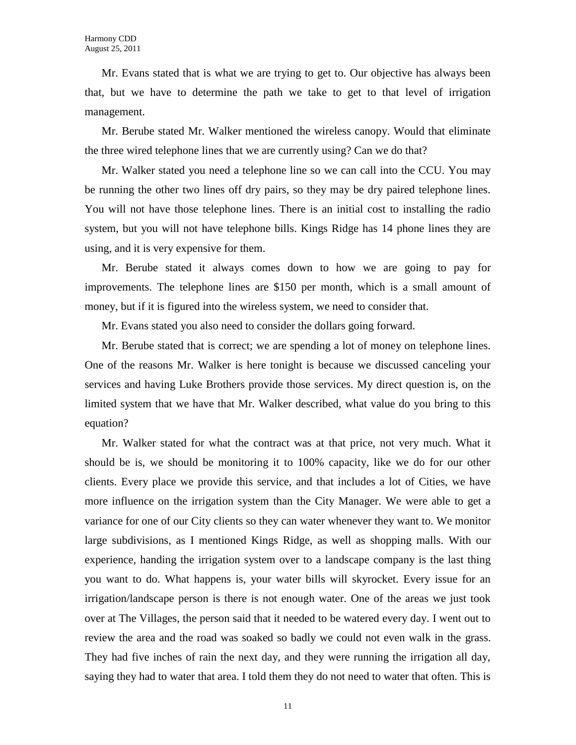Mr. Evans stated that is what we are trying to get to. Our objective has always been that, but we have to determine the path we take to get to that level of irrigation management.

Mr. Berube stated Mr. Walker mentioned the wireless canopy. Would that eliminate the three wired telephone lines that we are currently using? Can we do that?

Mr. Walker stated you need a telephone line so we can call into the CCU. You may be running the other two lines off dry pairs, so they may be dry paired telephone lines. You will not have those telephone lines. There is an initial cost to installing the radio system, but you will not have telephone bills. Kings Ridge has 14 phone lines they are using, and it is very expensive for them.

Mr. Berube stated it always comes down to how we are going to pay for improvements. The telephone lines are \$150 per month, which is a small amount of money, but if it is figured into the wireless system, we need to consider that.

Mr. Evans stated you also need to consider the dollars going forward.

Mr. Berube stated that is correct; we are spending a lot of money on telephone lines. One of the reasons Mr. Walker is here tonight is because we discussed canceling your services and having Luke Brothers provide those services. My direct question is, on the limited system that we have that Mr. Walker described, what value do you bring to this equation?

Mr. Walker stated for what the contract was at that price, not very much. What it should be is, we should be monitoring it to 100% capacity, like we do for our other clients. Every place we provide this service, and that includes a lot of Cities, we have more influence on the irrigation system than the City Manager. We were able to get a variance for one of our City clients so they can water whenever they want to. We monitor large subdivisions, as I mentioned Kings Ridge, as well as shopping malls. With our experience, handing the irrigation system over to a landscape company is the last thing you want to do. What happens is, your water bills will skyrocket. Every issue for an irrigation/landscape person is there is not enough water. One of the areas we just took over at The Villages, the person said that it needed to be watered every day. I went out to review the area and the road was soaked so badly we could not even walk in the grass. They had five inches of rain the next day, and they were running the irrigation all day, saying they had to water that area. I told them they do not need to water that often. This is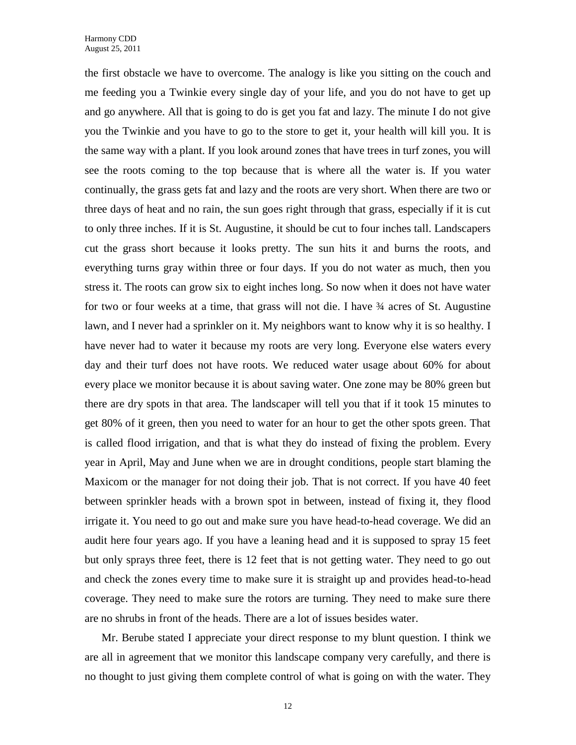the first obstacle we have to overcome. The analogy is like you sitting on the couch and me feeding you a Twinkie every single day of your life, and you do not have to get up and go anywhere. All that is going to do is get you fat and lazy. The minute I do not give you the Twinkie and you have to go to the store to get it, your health will kill you. It is the same way with a plant. If you look around zones that have trees in turf zones, you will see the roots coming to the top because that is where all the water is. If you water continually, the grass gets fat and lazy and the roots are very short. When there are two or three days of heat and no rain, the sun goes right through that grass, especially if it is cut to only three inches. If it is St. Augustine, it should be cut to four inches tall. Landscapers cut the grass short because it looks pretty. The sun hits it and burns the roots, and everything turns gray within three or four days. If you do not water as much, then you stress it. The roots can grow six to eight inches long. So now when it does not have water for two or four weeks at a time, that grass will not die. I have  $\frac{3}{4}$  acres of St. Augustine lawn, and I never had a sprinkler on it. My neighbors want to know why it is so healthy. I have never had to water it because my roots are very long. Everyone else waters every day and their turf does not have roots. We reduced water usage about 60% for about every place we monitor because it is about saving water. One zone may be 80% green but there are dry spots in that area. The landscaper will tell you that if it took 15 minutes to get 80% of it green, then you need to water for an hour to get the other spots green. That is called flood irrigation, and that is what they do instead of fixing the problem. Every year in April, May and June when we are in drought conditions, people start blaming the Maxicom or the manager for not doing their job. That is not correct. If you have 40 feet between sprinkler heads with a brown spot in between, instead of fixing it, they flood irrigate it. You need to go out and make sure you have head-to-head coverage. We did an audit here four years ago. If you have a leaning head and it is supposed to spray 15 feet but only sprays three feet, there is 12 feet that is not getting water. They need to go out and check the zones every time to make sure it is straight up and provides head-to-head coverage. They need to make sure the rotors are turning. They need to make sure there are no shrubs in front of the heads. There are a lot of issues besides water.

Mr. Berube stated I appreciate your direct response to my blunt question. I think we are all in agreement that we monitor this landscape company very carefully, and there is no thought to just giving them complete control of what is going on with the water. They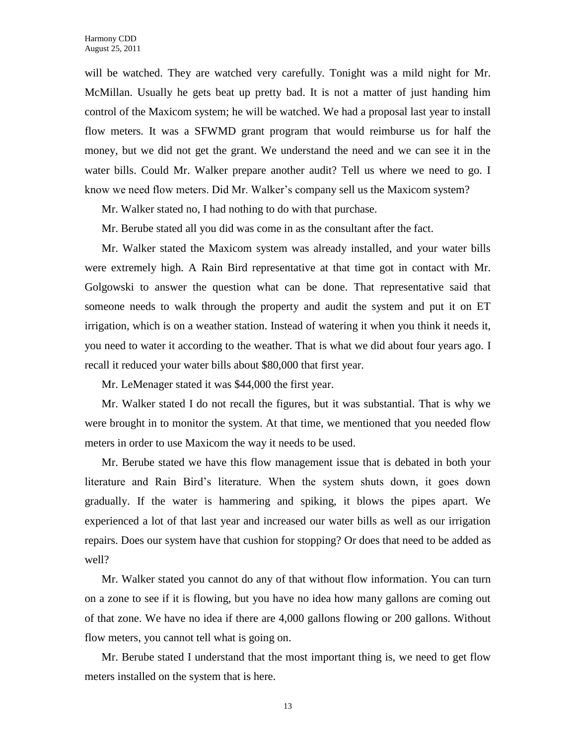will be watched. They are watched very carefully. Tonight was a mild night for Mr. McMillan. Usually he gets beat up pretty bad. It is not a matter of just handing him control of the Maxicom system; he will be watched. We had a proposal last year to install flow meters. It was a SFWMD grant program that would reimburse us for half the money, but we did not get the grant. We understand the need and we can see it in the water bills. Could Mr. Walker prepare another audit? Tell us where we need to go. I know we need flow meters. Did Mr. Walker's company sell us the Maxicom system?

Mr. Walker stated no, I had nothing to do with that purchase.

Mr. Berube stated all you did was come in as the consultant after the fact.

Mr. Walker stated the Maxicom system was already installed, and your water bills were extremely high. A Rain Bird representative at that time got in contact with Mr. Golgowski to answer the question what can be done. That representative said that someone needs to walk through the property and audit the system and put it on ET irrigation, which is on a weather station. Instead of watering it when you think it needs it, you need to water it according to the weather. That is what we did about four years ago. I recall it reduced your water bills about \$80,000 that first year.

Mr. LeMenager stated it was \$44,000 the first year.

Mr. Walker stated I do not recall the figures, but it was substantial. That is why we were brought in to monitor the system. At that time, we mentioned that you needed flow meters in order to use Maxicom the way it needs to be used.

Mr. Berube stated we have this flow management issue that is debated in both your literature and Rain Bird's literature. When the system shuts down, it goes down gradually. If the water is hammering and spiking, it blows the pipes apart. We experienced a lot of that last year and increased our water bills as well as our irrigation repairs. Does our system have that cushion for stopping? Or does that need to be added as well?

Mr. Walker stated you cannot do any of that without flow information. You can turn on a zone to see if it is flowing, but you have no idea how many gallons are coming out of that zone. We have no idea if there are 4,000 gallons flowing or 200 gallons. Without flow meters, you cannot tell what is going on.

Mr. Berube stated I understand that the most important thing is, we need to get flow meters installed on the system that is here.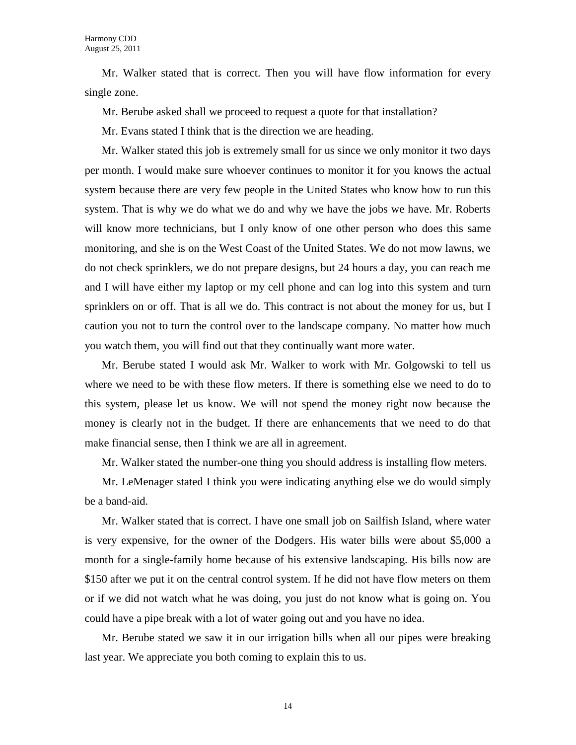Mr. Walker stated that is correct. Then you will have flow information for every single zone.

Mr. Berube asked shall we proceed to request a quote for that installation?

Mr. Evans stated I think that is the direction we are heading.

Mr. Walker stated this job is extremely small for us since we only monitor it two days per month. I would make sure whoever continues to monitor it for you knows the actual system because there are very few people in the United States who know how to run this system. That is why we do what we do and why we have the jobs we have. Mr. Roberts will know more technicians, but I only know of one other person who does this same monitoring, and she is on the West Coast of the United States. We do not mow lawns, we do not check sprinklers, we do not prepare designs, but 24 hours a day, you can reach me and I will have either my laptop or my cell phone and can log into this system and turn sprinklers on or off. That is all we do. This contract is not about the money for us, but I caution you not to turn the control over to the landscape company. No matter how much you watch them, you will find out that they continually want more water.

Mr. Berube stated I would ask Mr. Walker to work with Mr. Golgowski to tell us where we need to be with these flow meters. If there is something else we need to do to this system, please let us know. We will not spend the money right now because the money is clearly not in the budget. If there are enhancements that we need to do that make financial sense, then I think we are all in agreement.

Mr. Walker stated the number-one thing you should address is installing flow meters.

Mr. LeMenager stated I think you were indicating anything else we do would simply be a band-aid.

Mr. Walker stated that is correct. I have one small job on Sailfish Island, where water is very expensive, for the owner of the Dodgers. His water bills were about \$5,000 a month for a single-family home because of his extensive landscaping. His bills now are \$150 after we put it on the central control system. If he did not have flow meters on them or if we did not watch what he was doing, you just do not know what is going on. You could have a pipe break with a lot of water going out and you have no idea.

Mr. Berube stated we saw it in our irrigation bills when all our pipes were breaking last year. We appreciate you both coming to explain this to us.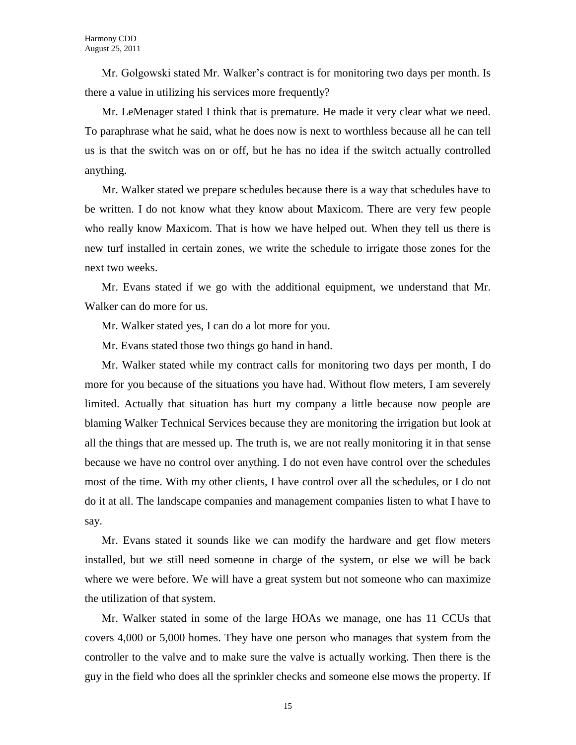Mr. Golgowski stated Mr. Walker's contract is for monitoring two days per month. Is there a value in utilizing his services more frequently?

Mr. LeMenager stated I think that is premature. He made it very clear what we need. To paraphrase what he said, what he does now is next to worthless because all he can tell us is that the switch was on or off, but he has no idea if the switch actually controlled anything.

Mr. Walker stated we prepare schedules because there is a way that schedules have to be written. I do not know what they know about Maxicom. There are very few people who really know Maxicom. That is how we have helped out. When they tell us there is new turf installed in certain zones, we write the schedule to irrigate those zones for the next two weeks.

Mr. Evans stated if we go with the additional equipment, we understand that Mr. Walker can do more for us.

Mr. Walker stated yes, I can do a lot more for you.

Mr. Evans stated those two things go hand in hand.

Mr. Walker stated while my contract calls for monitoring two days per month, I do more for you because of the situations you have had. Without flow meters, I am severely limited. Actually that situation has hurt my company a little because now people are blaming Walker Technical Services because they are monitoring the irrigation but look at all the things that are messed up. The truth is, we are not really monitoring it in that sense because we have no control over anything. I do not even have control over the schedules most of the time. With my other clients, I have control over all the schedules, or I do not do it at all. The landscape companies and management companies listen to what I have to say.

Mr. Evans stated it sounds like we can modify the hardware and get flow meters installed, but we still need someone in charge of the system, or else we will be back where we were before. We will have a great system but not someone who can maximize the utilization of that system.

Mr. Walker stated in some of the large HOAs we manage, one has 11 CCUs that covers 4,000 or 5,000 homes. They have one person who manages that system from the controller to the valve and to make sure the valve is actually working. Then there is the guy in the field who does all the sprinkler checks and someone else mows the property. If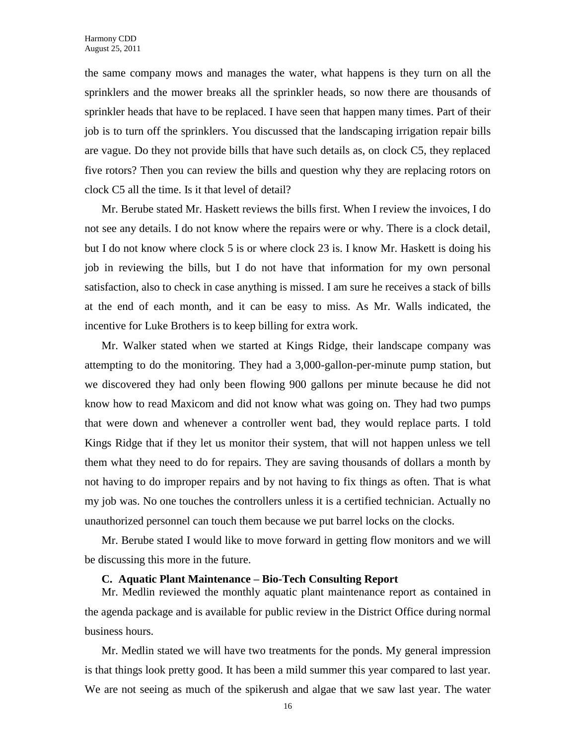the same company mows and manages the water, what happens is they turn on all the sprinklers and the mower breaks all the sprinkler heads, so now there are thousands of sprinkler heads that have to be replaced. I have seen that happen many times. Part of their job is to turn off the sprinklers. You discussed that the landscaping irrigation repair bills are vague. Do they not provide bills that have such details as, on clock C5, they replaced five rotors? Then you can review the bills and question why they are replacing rotors on clock C5 all the time. Is it that level of detail?

Mr. Berube stated Mr. Haskett reviews the bills first. When I review the invoices, I do not see any details. I do not know where the repairs were or why. There is a clock detail, but I do not know where clock 5 is or where clock 23 is. I know Mr. Haskett is doing his job in reviewing the bills, but I do not have that information for my own personal satisfaction, also to check in case anything is missed. I am sure he receives a stack of bills at the end of each month, and it can be easy to miss. As Mr. Walls indicated, the incentive for Luke Brothers is to keep billing for extra work.

Mr. Walker stated when we started at Kings Ridge, their landscape company was attempting to do the monitoring. They had a 3,000-gallon-per-minute pump station, but we discovered they had only been flowing 900 gallons per minute because he did not know how to read Maxicom and did not know what was going on. They had two pumps that were down and whenever a controller went bad, they would replace parts. I told Kings Ridge that if they let us monitor their system, that will not happen unless we tell them what they need to do for repairs. They are saving thousands of dollars a month by not having to do improper repairs and by not having to fix things as often. That is what my job was. No one touches the controllers unless it is a certified technician. Actually no unauthorized personnel can touch them because we put barrel locks on the clocks.

Mr. Berube stated I would like to move forward in getting flow monitors and we will be discussing this more in the future.

#### **C. Aquatic Plant Maintenance – Bio-Tech Consulting Report**

Mr. Medlin reviewed the monthly aquatic plant maintenance report as contained in the agenda package and is available for public review in the District Office during normal business hours.

Mr. Medlin stated we will have two treatments for the ponds. My general impression is that things look pretty good. It has been a mild summer this year compared to last year. We are not seeing as much of the spikerush and algae that we saw last year. The water

16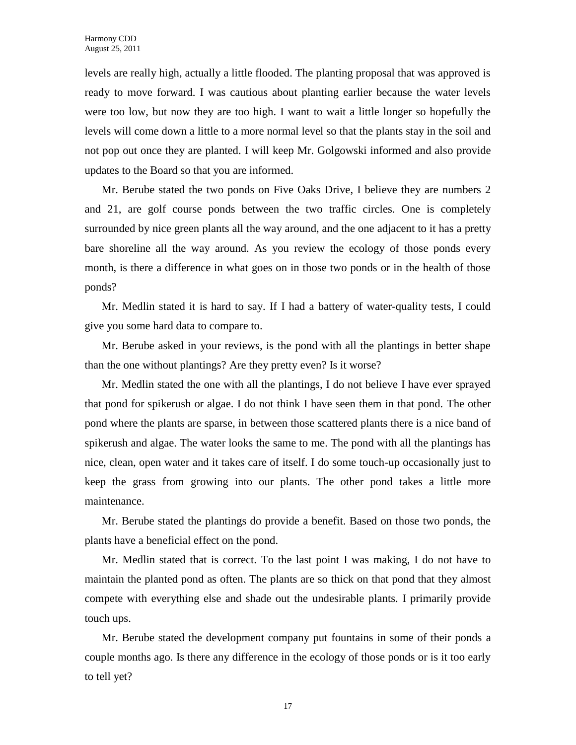levels are really high, actually a little flooded. The planting proposal that was approved is ready to move forward. I was cautious about planting earlier because the water levels were too low, but now they are too high. I want to wait a little longer so hopefully the levels will come down a little to a more normal level so that the plants stay in the soil and not pop out once they are planted. I will keep Mr. Golgowski informed and also provide updates to the Board so that you are informed.

Mr. Berube stated the two ponds on Five Oaks Drive, I believe they are numbers 2 and 21, are golf course ponds between the two traffic circles. One is completely surrounded by nice green plants all the way around, and the one adjacent to it has a pretty bare shoreline all the way around. As you review the ecology of those ponds every month, is there a difference in what goes on in those two ponds or in the health of those ponds?

Mr. Medlin stated it is hard to say. If I had a battery of water-quality tests, I could give you some hard data to compare to.

Mr. Berube asked in your reviews, is the pond with all the plantings in better shape than the one without plantings? Are they pretty even? Is it worse?

Mr. Medlin stated the one with all the plantings, I do not believe I have ever sprayed that pond for spikerush or algae. I do not think I have seen them in that pond. The other pond where the plants are sparse, in between those scattered plants there is a nice band of spikerush and algae. The water looks the same to me. The pond with all the plantings has nice, clean, open water and it takes care of itself. I do some touch-up occasionally just to keep the grass from growing into our plants. The other pond takes a little more maintenance.

Mr. Berube stated the plantings do provide a benefit. Based on those two ponds, the plants have a beneficial effect on the pond.

Mr. Medlin stated that is correct. To the last point I was making, I do not have to maintain the planted pond as often. The plants are so thick on that pond that they almost compete with everything else and shade out the undesirable plants. I primarily provide touch ups.

Mr. Berube stated the development company put fountains in some of their ponds a couple months ago. Is there any difference in the ecology of those ponds or is it too early to tell yet?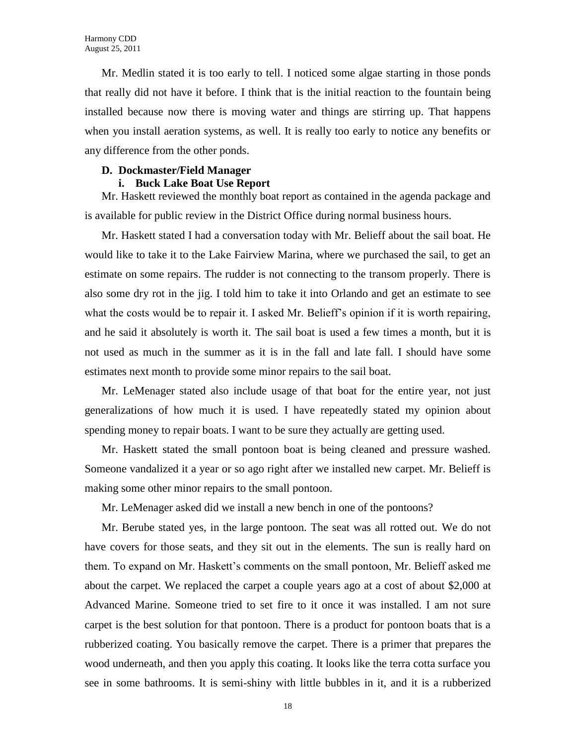Mr. Medlin stated it is too early to tell. I noticed some algae starting in those ponds that really did not have it before. I think that is the initial reaction to the fountain being installed because now there is moving water and things are stirring up. That happens when you install aeration systems, as well. It is really too early to notice any benefits or any difference from the other ponds.

# **D. Dockmaster/Field Manager**

# **i. Buck Lake Boat Use Report**

Mr. Haskett reviewed the monthly boat report as contained in the agenda package and is available for public review in the District Office during normal business hours.

Mr. Haskett stated I had a conversation today with Mr. Belieff about the sail boat. He would like to take it to the Lake Fairview Marina, where we purchased the sail, to get an estimate on some repairs. The rudder is not connecting to the transom properly. There is also some dry rot in the jig. I told him to take it into Orlando and get an estimate to see what the costs would be to repair it. I asked Mr. Belieff's opinion if it is worth repairing, and he said it absolutely is worth it. The sail boat is used a few times a month, but it is not used as much in the summer as it is in the fall and late fall. I should have some estimates next month to provide some minor repairs to the sail boat.

Mr. LeMenager stated also include usage of that boat for the entire year, not just generalizations of how much it is used. I have repeatedly stated my opinion about spending money to repair boats. I want to be sure they actually are getting used.

Mr. Haskett stated the small pontoon boat is being cleaned and pressure washed. Someone vandalized it a year or so ago right after we installed new carpet. Mr. Belieff is making some other minor repairs to the small pontoon.

Mr. LeMenager asked did we install a new bench in one of the pontoons?

Mr. Berube stated yes, in the large pontoon. The seat was all rotted out. We do not have covers for those seats, and they sit out in the elements. The sun is really hard on them. To expand on Mr. Haskett's comments on the small pontoon, Mr. Belieff asked me about the carpet. We replaced the carpet a couple years ago at a cost of about \$2,000 at Advanced Marine. Someone tried to set fire to it once it was installed. I am not sure carpet is the best solution for that pontoon. There is a product for pontoon boats that is a rubberized coating. You basically remove the carpet. There is a primer that prepares the wood underneath, and then you apply this coating. It looks like the terra cotta surface you see in some bathrooms. It is semi-shiny with little bubbles in it, and it is a rubberized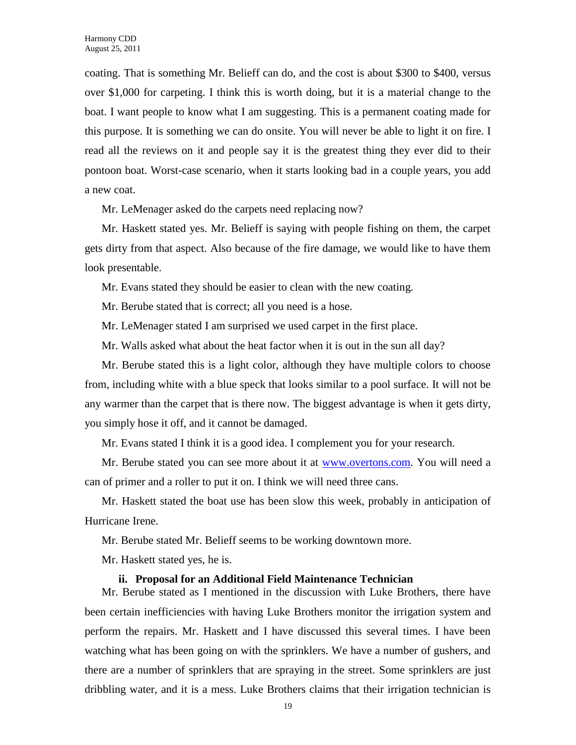coating. That is something Mr. Belieff can do, and the cost is about \$300 to \$400, versus over \$1,000 for carpeting. I think this is worth doing, but it is a material change to the boat. I want people to know what I am suggesting. This is a permanent coating made for this purpose. It is something we can do onsite. You will never be able to light it on fire. I read all the reviews on it and people say it is the greatest thing they ever did to their pontoon boat. Worst-case scenario, when it starts looking bad in a couple years, you add a new coat.

Mr. LeMenager asked do the carpets need replacing now?

Mr. Haskett stated yes. Mr. Belieff is saying with people fishing on them, the carpet gets dirty from that aspect. Also because of the fire damage, we would like to have them look presentable.

Mr. Evans stated they should be easier to clean with the new coating.

Mr. Berube stated that is correct; all you need is a hose.

Mr. LeMenager stated I am surprised we used carpet in the first place.

Mr. Walls asked what about the heat factor when it is out in the sun all day?

Mr. Berube stated this is a light color, although they have multiple colors to choose from, including white with a blue speck that looks similar to a pool surface. It will not be any warmer than the carpet that is there now. The biggest advantage is when it gets dirty, you simply hose it off, and it cannot be damaged.

Mr. Evans stated I think it is a good idea. I complement you for your research.

Mr. Berube stated you can see more about it at [www.overtons.com.](http://www.overtons.com/) You will need a can of primer and a roller to put it on. I think we will need three cans.

Mr. Haskett stated the boat use has been slow this week, probably in anticipation of Hurricane Irene.

Mr. Berube stated Mr. Belieff seems to be working downtown more.

Mr. Haskett stated yes, he is.

#### **ii. Proposal for an Additional Field Maintenance Technician**

Mr. Berube stated as I mentioned in the discussion with Luke Brothers, there have been certain inefficiencies with having Luke Brothers monitor the irrigation system and perform the repairs. Mr. Haskett and I have discussed this several times. I have been watching what has been going on with the sprinklers. We have a number of gushers, and there are a number of sprinklers that are spraying in the street. Some sprinklers are just dribbling water, and it is a mess. Luke Brothers claims that their irrigation technician is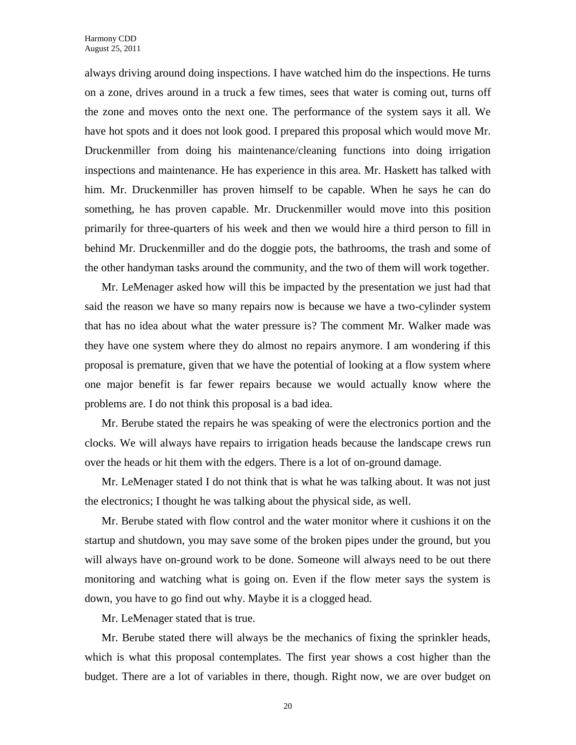always driving around doing inspections. I have watched him do the inspections. He turns on a zone, drives around in a truck a few times, sees that water is coming out, turns off the zone and moves onto the next one. The performance of the system says it all. We have hot spots and it does not look good. I prepared this proposal which would move Mr. Druckenmiller from doing his maintenance/cleaning functions into doing irrigation inspections and maintenance. He has experience in this area. Mr. Haskett has talked with him. Mr. Druckenmiller has proven himself to be capable. When he says he can do something, he has proven capable. Mr. Druckenmiller would move into this position primarily for three-quarters of his week and then we would hire a third person to fill in behind Mr. Druckenmiller and do the doggie pots, the bathrooms, the trash and some of the other handyman tasks around the community, and the two of them will work together.

Mr. LeMenager asked how will this be impacted by the presentation we just had that said the reason we have so many repairs now is because we have a two-cylinder system that has no idea about what the water pressure is? The comment Mr. Walker made was they have one system where they do almost no repairs anymore. I am wondering if this proposal is premature, given that we have the potential of looking at a flow system where one major benefit is far fewer repairs because we would actually know where the problems are. I do not think this proposal is a bad idea.

Mr. Berube stated the repairs he was speaking of were the electronics portion and the clocks. We will always have repairs to irrigation heads because the landscape crews run over the heads or hit them with the edgers. There is a lot of on-ground damage.

Mr. LeMenager stated I do not think that is what he was talking about. It was not just the electronics; I thought he was talking about the physical side, as well.

Mr. Berube stated with flow control and the water monitor where it cushions it on the startup and shutdown, you may save some of the broken pipes under the ground, but you will always have on-ground work to be done. Someone will always need to be out there monitoring and watching what is going on. Even if the flow meter says the system is down, you have to go find out why. Maybe it is a clogged head.

Mr. LeMenager stated that is true.

Mr. Berube stated there will always be the mechanics of fixing the sprinkler heads, which is what this proposal contemplates. The first year shows a cost higher than the budget. There are a lot of variables in there, though. Right now, we are over budget on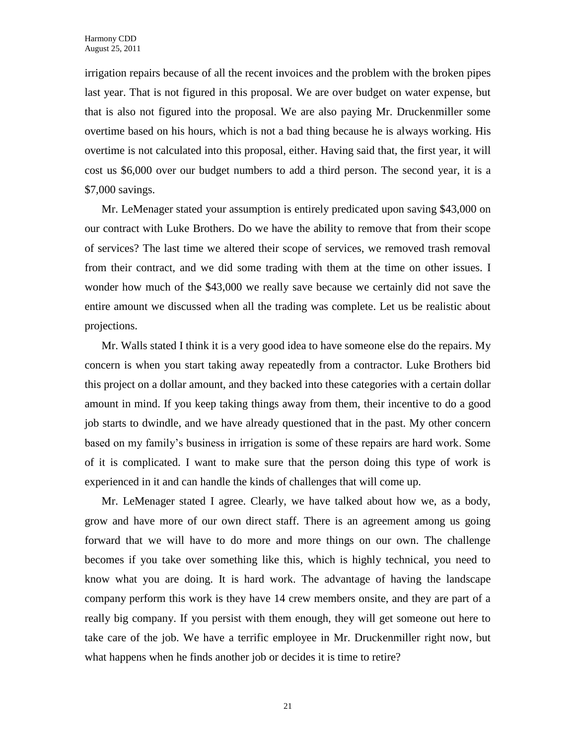irrigation repairs because of all the recent invoices and the problem with the broken pipes last year. That is not figured in this proposal. We are over budget on water expense, but that is also not figured into the proposal. We are also paying Mr. Druckenmiller some overtime based on his hours, which is not a bad thing because he is always working. His overtime is not calculated into this proposal, either. Having said that, the first year, it will cost us \$6,000 over our budget numbers to add a third person. The second year, it is a \$7,000 savings.

Mr. LeMenager stated your assumption is entirely predicated upon saving \$43,000 on our contract with Luke Brothers. Do we have the ability to remove that from their scope of services? The last time we altered their scope of services, we removed trash removal from their contract, and we did some trading with them at the time on other issues. I wonder how much of the \$43,000 we really save because we certainly did not save the entire amount we discussed when all the trading was complete. Let us be realistic about projections.

Mr. Walls stated I think it is a very good idea to have someone else do the repairs. My concern is when you start taking away repeatedly from a contractor. Luke Brothers bid this project on a dollar amount, and they backed into these categories with a certain dollar amount in mind. If you keep taking things away from them, their incentive to do a good job starts to dwindle, and we have already questioned that in the past. My other concern based on my family's business in irrigation is some of these repairs are hard work. Some of it is complicated. I want to make sure that the person doing this type of work is experienced in it and can handle the kinds of challenges that will come up.

Mr. LeMenager stated I agree. Clearly, we have talked about how we, as a body, grow and have more of our own direct staff. There is an agreement among us going forward that we will have to do more and more things on our own. The challenge becomes if you take over something like this, which is highly technical, you need to know what you are doing. It is hard work. The advantage of having the landscape company perform this work is they have 14 crew members onsite, and they are part of a really big company. If you persist with them enough, they will get someone out here to take care of the job. We have a terrific employee in Mr. Druckenmiller right now, but what happens when he finds another job or decides it is time to retire?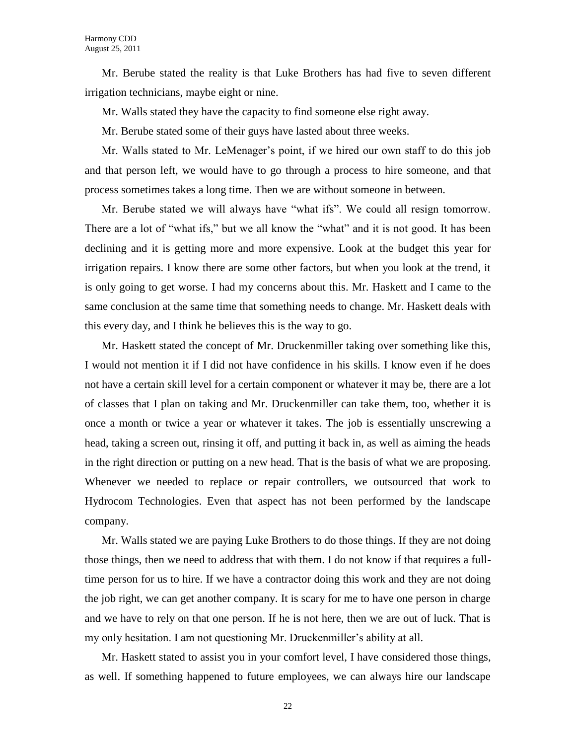Mr. Berube stated the reality is that Luke Brothers has had five to seven different irrigation technicians, maybe eight or nine.

Mr. Walls stated they have the capacity to find someone else right away.

Mr. Berube stated some of their guys have lasted about three weeks.

Mr. Walls stated to Mr. LeMenager's point, if we hired our own staff to do this job and that person left, we would have to go through a process to hire someone, and that process sometimes takes a long time. Then we are without someone in between.

Mr. Berube stated we will always have "what ifs". We could all resign tomorrow. There are a lot of "what ifs," but we all know the "what" and it is not good. It has been declining and it is getting more and more expensive. Look at the budget this year for irrigation repairs. I know there are some other factors, but when you look at the trend, it is only going to get worse. I had my concerns about this. Mr. Haskett and I came to the same conclusion at the same time that something needs to change. Mr. Haskett deals with this every day, and I think he believes this is the way to go.

Mr. Haskett stated the concept of Mr. Druckenmiller taking over something like this, I would not mention it if I did not have confidence in his skills. I know even if he does not have a certain skill level for a certain component or whatever it may be, there are a lot of classes that I plan on taking and Mr. Druckenmiller can take them, too, whether it is once a month or twice a year or whatever it takes. The job is essentially unscrewing a head, taking a screen out, rinsing it off, and putting it back in, as well as aiming the heads in the right direction or putting on a new head. That is the basis of what we are proposing. Whenever we needed to replace or repair controllers, we outsourced that work to Hydrocom Technologies. Even that aspect has not been performed by the landscape company.

Mr. Walls stated we are paying Luke Brothers to do those things. If they are not doing those things, then we need to address that with them. I do not know if that requires a fulltime person for us to hire. If we have a contractor doing this work and they are not doing the job right, we can get another company. It is scary for me to have one person in charge and we have to rely on that one person. If he is not here, then we are out of luck. That is my only hesitation. I am not questioning Mr. Druckenmiller's ability at all.

Mr. Haskett stated to assist you in your comfort level, I have considered those things, as well. If something happened to future employees, we can always hire our landscape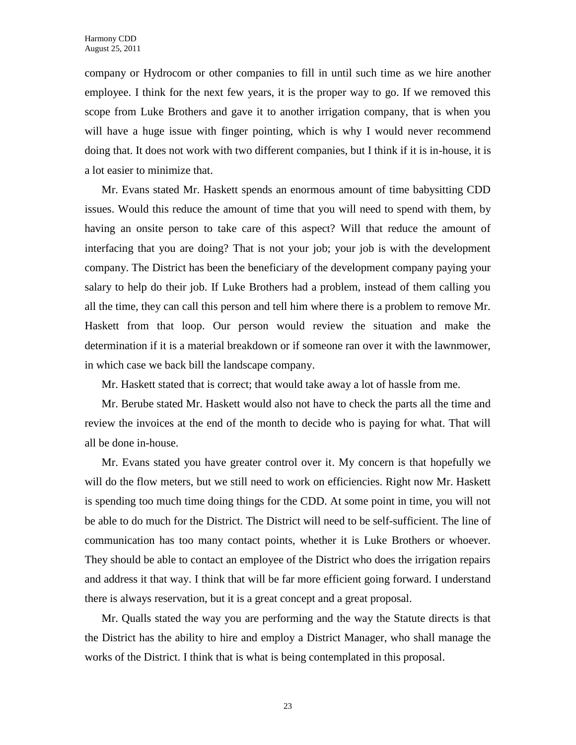company or Hydrocom or other companies to fill in until such time as we hire another employee. I think for the next few years, it is the proper way to go. If we removed this scope from Luke Brothers and gave it to another irrigation company, that is when you will have a huge issue with finger pointing, which is why I would never recommend doing that. It does not work with two different companies, but I think if it is in-house, it is a lot easier to minimize that.

Mr. Evans stated Mr. Haskett spends an enormous amount of time babysitting CDD issues. Would this reduce the amount of time that you will need to spend with them, by having an onsite person to take care of this aspect? Will that reduce the amount of interfacing that you are doing? That is not your job; your job is with the development company. The District has been the beneficiary of the development company paying your salary to help do their job. If Luke Brothers had a problem, instead of them calling you all the time, they can call this person and tell him where there is a problem to remove Mr. Haskett from that loop. Our person would review the situation and make the determination if it is a material breakdown or if someone ran over it with the lawnmower, in which case we back bill the landscape company.

Mr. Haskett stated that is correct; that would take away a lot of hassle from me.

Mr. Berube stated Mr. Haskett would also not have to check the parts all the time and review the invoices at the end of the month to decide who is paying for what. That will all be done in-house.

Mr. Evans stated you have greater control over it. My concern is that hopefully we will do the flow meters, but we still need to work on efficiencies. Right now Mr. Haskett is spending too much time doing things for the CDD. At some point in time, you will not be able to do much for the District. The District will need to be self-sufficient. The line of communication has too many contact points, whether it is Luke Brothers or whoever. They should be able to contact an employee of the District who does the irrigation repairs and address it that way. I think that will be far more efficient going forward. I understand there is always reservation, but it is a great concept and a great proposal.

Mr. Qualls stated the way you are performing and the way the Statute directs is that the District has the ability to hire and employ a District Manager, who shall manage the works of the District. I think that is what is being contemplated in this proposal.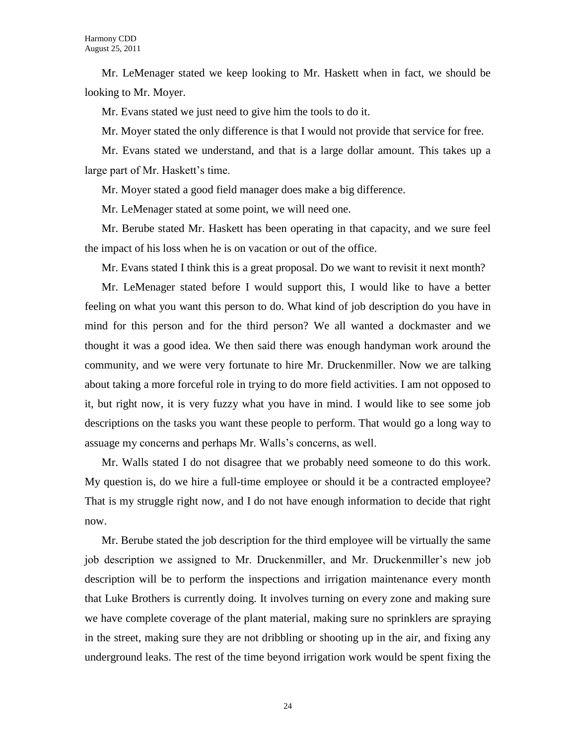Mr. LeMenager stated we keep looking to Mr. Haskett when in fact, we should be looking to Mr. Moyer.

Mr. Evans stated we just need to give him the tools to do it.

Mr. Moyer stated the only difference is that I would not provide that service for free.

Mr. Evans stated we understand, and that is a large dollar amount. This takes up a large part of Mr. Haskett's time.

Mr. Moyer stated a good field manager does make a big difference.

Mr. LeMenager stated at some point, we will need one.

Mr. Berube stated Mr. Haskett has been operating in that capacity, and we sure feel the impact of his loss when he is on vacation or out of the office.

Mr. Evans stated I think this is a great proposal. Do we want to revisit it next month?

Mr. LeMenager stated before I would support this, I would like to have a better feeling on what you want this person to do. What kind of job description do you have in mind for this person and for the third person? We all wanted a dockmaster and we thought it was a good idea. We then said there was enough handyman work around the community, and we were very fortunate to hire Mr. Druckenmiller. Now we are talking about taking a more forceful role in trying to do more field activities. I am not opposed to it, but right now, it is very fuzzy what you have in mind. I would like to see some job descriptions on the tasks you want these people to perform. That would go a long way to assuage my concerns and perhaps Mr. Walls's concerns, as well.

Mr. Walls stated I do not disagree that we probably need someone to do this work. My question is, do we hire a full-time employee or should it be a contracted employee? That is my struggle right now, and I do not have enough information to decide that right now.

Mr. Berube stated the job description for the third employee will be virtually the same job description we assigned to Mr. Druckenmiller, and Mr. Druckenmiller's new job description will be to perform the inspections and irrigation maintenance every month that Luke Brothers is currently doing. It involves turning on every zone and making sure we have complete coverage of the plant material, making sure no sprinklers are spraying in the street, making sure they are not dribbling or shooting up in the air, and fixing any underground leaks. The rest of the time beyond irrigation work would be spent fixing the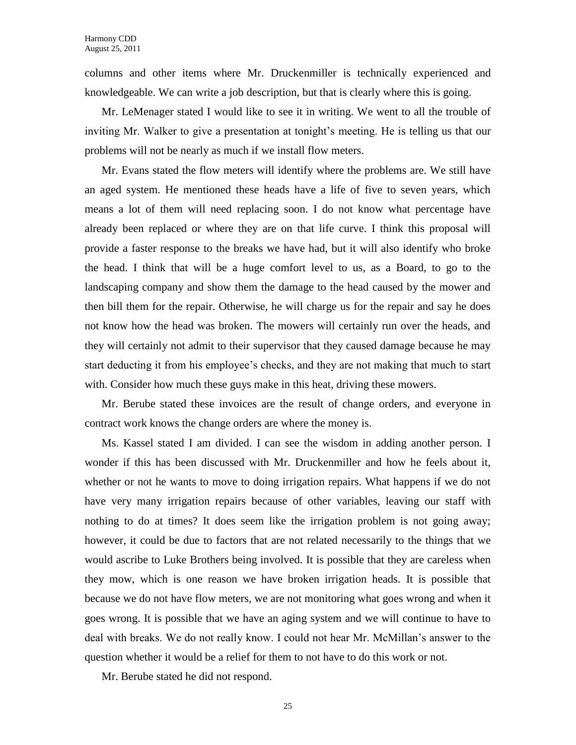columns and other items where Mr. Druckenmiller is technically experienced and knowledgeable. We can write a job description, but that is clearly where this is going.

Mr. LeMenager stated I would like to see it in writing. We went to all the trouble of inviting Mr. Walker to give a presentation at tonight's meeting. He is telling us that our problems will not be nearly as much if we install flow meters.

Mr. Evans stated the flow meters will identify where the problems are. We still have an aged system. He mentioned these heads have a life of five to seven years, which means a lot of them will need replacing soon. I do not know what percentage have already been replaced or where they are on that life curve. I think this proposal will provide a faster response to the breaks we have had, but it will also identify who broke the head. I think that will be a huge comfort level to us, as a Board, to go to the landscaping company and show them the damage to the head caused by the mower and then bill them for the repair. Otherwise, he will charge us for the repair and say he does not know how the head was broken. The mowers will certainly run over the heads, and they will certainly not admit to their supervisor that they caused damage because he may start deducting it from his employee's checks, and they are not making that much to start with. Consider how much these guys make in this heat, driving these mowers.

Mr. Berube stated these invoices are the result of change orders, and everyone in contract work knows the change orders are where the money is.

Ms. Kassel stated I am divided. I can see the wisdom in adding another person. I wonder if this has been discussed with Mr. Druckenmiller and how he feels about it, whether or not he wants to move to doing irrigation repairs. What happens if we do not have very many irrigation repairs because of other variables, leaving our staff with nothing to do at times? It does seem like the irrigation problem is not going away; however, it could be due to factors that are not related necessarily to the things that we would ascribe to Luke Brothers being involved. It is possible that they are careless when they mow, which is one reason we have broken irrigation heads. It is possible that because we do not have flow meters, we are not monitoring what goes wrong and when it goes wrong. It is possible that we have an aging system and we will continue to have to deal with breaks. We do not really know. I could not hear Mr. McMillan's answer to the question whether it would be a relief for them to not have to do this work or not.

Mr. Berube stated he did not respond.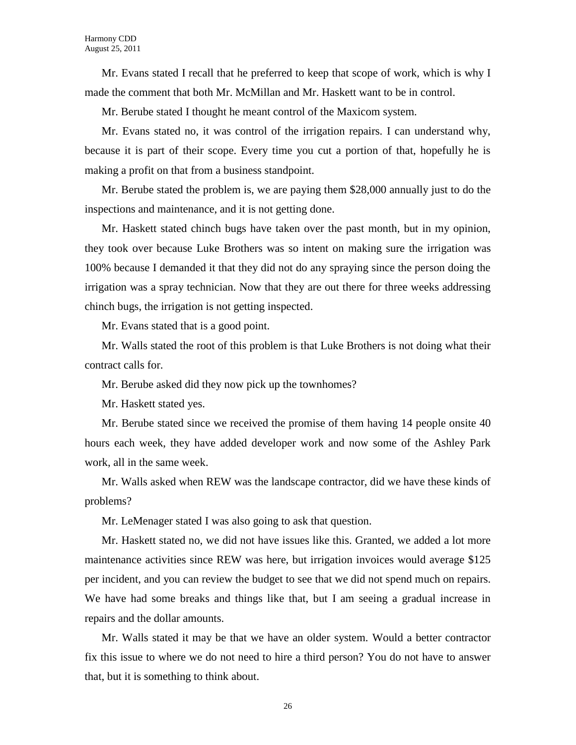Mr. Evans stated I recall that he preferred to keep that scope of work, which is why I made the comment that both Mr. McMillan and Mr. Haskett want to be in control.

Mr. Berube stated I thought he meant control of the Maxicom system.

Mr. Evans stated no, it was control of the irrigation repairs. I can understand why, because it is part of their scope. Every time you cut a portion of that, hopefully he is making a profit on that from a business standpoint.

Mr. Berube stated the problem is, we are paying them \$28,000 annually just to do the inspections and maintenance, and it is not getting done.

Mr. Haskett stated chinch bugs have taken over the past month, but in my opinion, they took over because Luke Brothers was so intent on making sure the irrigation was 100% because I demanded it that they did not do any spraying since the person doing the irrigation was a spray technician. Now that they are out there for three weeks addressing chinch bugs, the irrigation is not getting inspected.

Mr. Evans stated that is a good point.

Mr. Walls stated the root of this problem is that Luke Brothers is not doing what their contract calls for.

Mr. Berube asked did they now pick up the townhomes?

Mr. Haskett stated yes.

Mr. Berube stated since we received the promise of them having 14 people onsite 40 hours each week, they have added developer work and now some of the Ashley Park work, all in the same week.

Mr. Walls asked when REW was the landscape contractor, did we have these kinds of problems?

Mr. LeMenager stated I was also going to ask that question.

Mr. Haskett stated no, we did not have issues like this. Granted, we added a lot more maintenance activities since REW was here, but irrigation invoices would average \$125 per incident, and you can review the budget to see that we did not spend much on repairs. We have had some breaks and things like that, but I am seeing a gradual increase in repairs and the dollar amounts.

Mr. Walls stated it may be that we have an older system. Would a better contractor fix this issue to where we do not need to hire a third person? You do not have to answer that, but it is something to think about.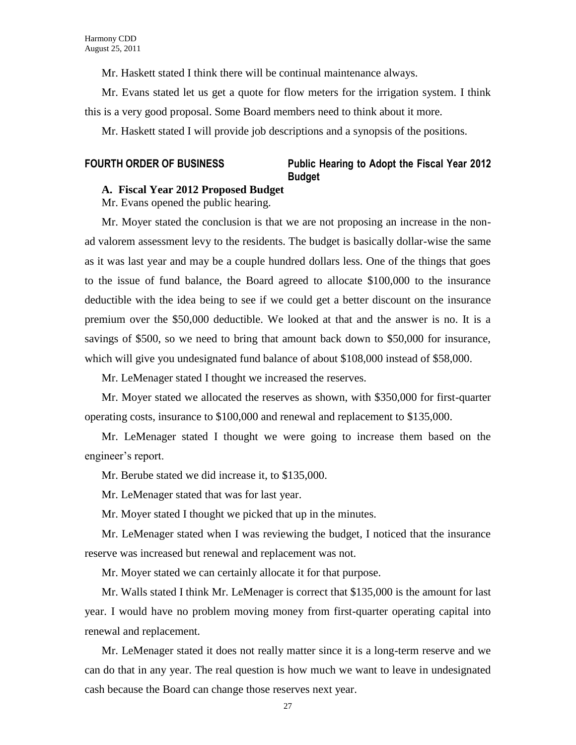Mr. Haskett stated I think there will be continual maintenance always.

Mr. Evans stated let us get a quote for flow meters for the irrigation system. I think this is a very good proposal. Some Board members need to think about it more.

Mr. Haskett stated I will provide job descriptions and a synopsis of the positions.

## **FOURTH ORDER OF BUSINESS Public Hearing to Adopt the Fiscal Year 2012 Budget**

## **A. Fiscal Year 2012 Proposed Budget**

Mr. Evans opened the public hearing.

Mr. Moyer stated the conclusion is that we are not proposing an increase in the nonad valorem assessment levy to the residents. The budget is basically dollar-wise the same as it was last year and may be a couple hundred dollars less. One of the things that goes to the issue of fund balance, the Board agreed to allocate \$100,000 to the insurance deductible with the idea being to see if we could get a better discount on the insurance premium over the \$50,000 deductible. We looked at that and the answer is no. It is a savings of \$500, so we need to bring that amount back down to \$50,000 for insurance, which will give you undesignated fund balance of about \$108,000 instead of \$58,000.

Mr. LeMenager stated I thought we increased the reserves.

Mr. Moyer stated we allocated the reserves as shown, with \$350,000 for first-quarter operating costs, insurance to \$100,000 and renewal and replacement to \$135,000.

Mr. LeMenager stated I thought we were going to increase them based on the engineer's report.

Mr. Berube stated we did increase it, to \$135,000.

Mr. LeMenager stated that was for last year.

Mr. Moyer stated I thought we picked that up in the minutes.

Mr. LeMenager stated when I was reviewing the budget, I noticed that the insurance reserve was increased but renewal and replacement was not.

Mr. Moyer stated we can certainly allocate it for that purpose.

Mr. Walls stated I think Mr. LeMenager is correct that \$135,000 is the amount for last year. I would have no problem moving money from first-quarter operating capital into renewal and replacement.

Mr. LeMenager stated it does not really matter since it is a long-term reserve and we can do that in any year. The real question is how much we want to leave in undesignated cash because the Board can change those reserves next year.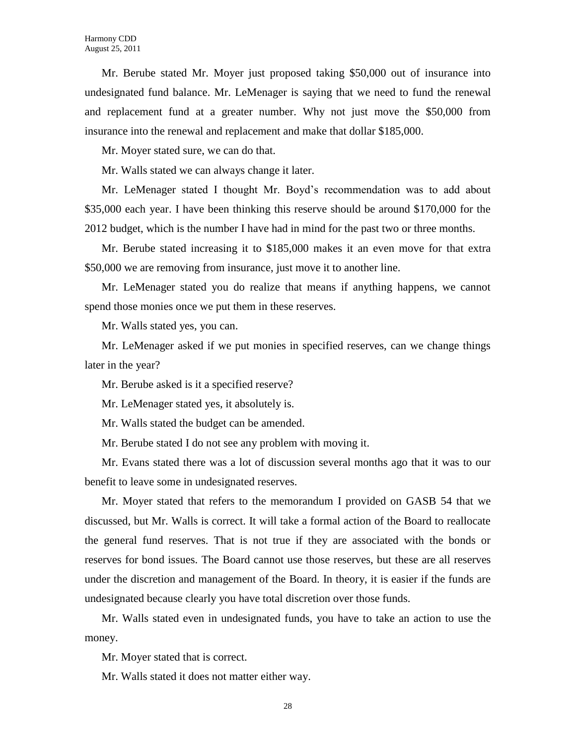Mr. Berube stated Mr. Moyer just proposed taking \$50,000 out of insurance into undesignated fund balance. Mr. LeMenager is saying that we need to fund the renewal and replacement fund at a greater number. Why not just move the \$50,000 from insurance into the renewal and replacement and make that dollar \$185,000.

Mr. Moyer stated sure, we can do that.

Mr. Walls stated we can always change it later.

Mr. LeMenager stated I thought Mr. Boyd's recommendation was to add about \$35,000 each year. I have been thinking this reserve should be around \$170,000 for the 2012 budget, which is the number I have had in mind for the past two or three months.

Mr. Berube stated increasing it to \$185,000 makes it an even move for that extra \$50,000 we are removing from insurance, just move it to another line.

Mr. LeMenager stated you do realize that means if anything happens, we cannot spend those monies once we put them in these reserves.

Mr. Walls stated yes, you can.

Mr. LeMenager asked if we put monies in specified reserves, can we change things later in the year?

Mr. Berube asked is it a specified reserve?

Mr. LeMenager stated yes, it absolutely is.

Mr. Walls stated the budget can be amended.

Mr. Berube stated I do not see any problem with moving it.

Mr. Evans stated there was a lot of discussion several months ago that it was to our benefit to leave some in undesignated reserves.

Mr. Moyer stated that refers to the memorandum I provided on GASB 54 that we discussed, but Mr. Walls is correct. It will take a formal action of the Board to reallocate the general fund reserves. That is not true if they are associated with the bonds or reserves for bond issues. The Board cannot use those reserves, but these are all reserves under the discretion and management of the Board. In theory, it is easier if the funds are undesignated because clearly you have total discretion over those funds.

Mr. Walls stated even in undesignated funds, you have to take an action to use the money.

Mr. Moyer stated that is correct.

Mr. Walls stated it does not matter either way.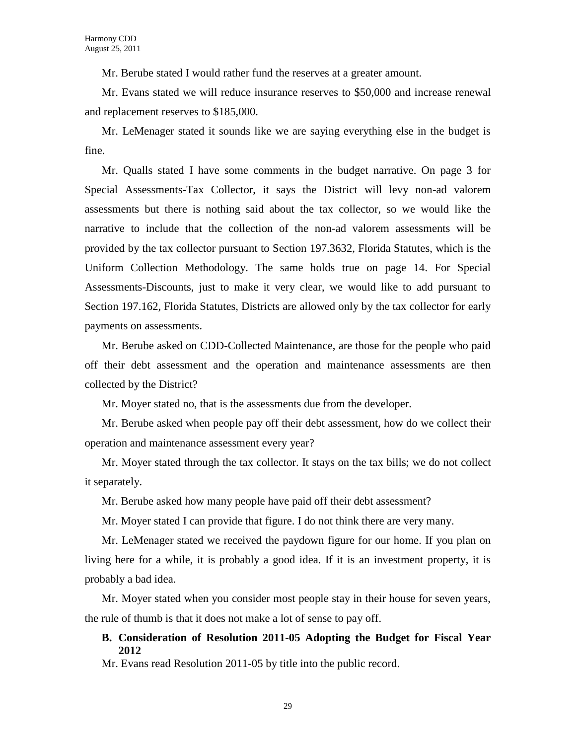Mr. Berube stated I would rather fund the reserves at a greater amount.

Mr. Evans stated we will reduce insurance reserves to \$50,000 and increase renewal and replacement reserves to \$185,000.

Mr. LeMenager stated it sounds like we are saying everything else in the budget is fine.

Mr. Qualls stated I have some comments in the budget narrative. On page 3 for Special Assessments-Tax Collector, it says the District will levy non-ad valorem assessments but there is nothing said about the tax collector, so we would like the narrative to include that the collection of the non-ad valorem assessments will be provided by the tax collector pursuant to Section 197.3632, Florida Statutes, which is the Uniform Collection Methodology. The same holds true on page 14. For Special Assessments-Discounts, just to make it very clear, we would like to add pursuant to Section 197.162, Florida Statutes, Districts are allowed only by the tax collector for early payments on assessments.

Mr. Berube asked on CDD-Collected Maintenance, are those for the people who paid off their debt assessment and the operation and maintenance assessments are then collected by the District?

Mr. Moyer stated no, that is the assessments due from the developer.

Mr. Berube asked when people pay off their debt assessment, how do we collect their operation and maintenance assessment every year?

Mr. Moyer stated through the tax collector. It stays on the tax bills; we do not collect it separately.

Mr. Berube asked how many people have paid off their debt assessment?

Mr. Moyer stated I can provide that figure. I do not think there are very many.

Mr. LeMenager stated we received the paydown figure for our home. If you plan on living here for a while, it is probably a good idea. If it is an investment property, it is probably a bad idea.

Mr. Moyer stated when you consider most people stay in their house for seven years, the rule of thumb is that it does not make a lot of sense to pay off.

## **B. Consideration of Resolution 2011-05 Adopting the Budget for Fiscal Year 2012**

Mr. Evans read Resolution 2011-05 by title into the public record.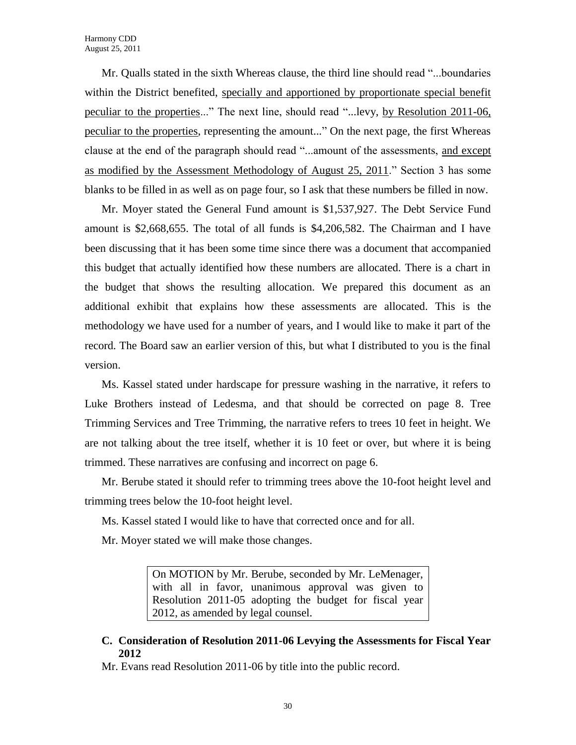Mr. Qualls stated in the sixth Whereas clause, the third line should read "...boundaries within the District benefited, specially and apportioned by proportionate special benefit peculiar to the properties..." The next line, should read "...levy, by Resolution 2011-06, peculiar to the properties, representing the amount..." On the next page, the first Whereas clause at the end of the paragraph should read "...amount of the assessments, and except as modified by the Assessment Methodology of August 25, 2011." Section 3 has some blanks to be filled in as well as on page four, so I ask that these numbers be filled in now.

Mr. Moyer stated the General Fund amount is \$1,537,927. The Debt Service Fund amount is \$2,668,655. The total of all funds is \$4,206,582. The Chairman and I have been discussing that it has been some time since there was a document that accompanied this budget that actually identified how these numbers are allocated. There is a chart in the budget that shows the resulting allocation. We prepared this document as an additional exhibit that explains how these assessments are allocated. This is the methodology we have used for a number of years, and I would like to make it part of the record. The Board saw an earlier version of this, but what I distributed to you is the final version.

Ms. Kassel stated under hardscape for pressure washing in the narrative, it refers to Luke Brothers instead of Ledesma, and that should be corrected on page 8. Tree Trimming Services and Tree Trimming, the narrative refers to trees 10 feet in height. We are not talking about the tree itself, whether it is 10 feet or over, but where it is being trimmed. These narratives are confusing and incorrect on page 6.

Mr. Berube stated it should refer to trimming trees above the 10-foot height level and trimming trees below the 10-foot height level.

Ms. Kassel stated I would like to have that corrected once and for all.

Mr. Moyer stated we will make those changes.

On MOTION by Mr. Berube, seconded by Mr. LeMenager, with all in favor, unanimous approval was given to Resolution 2011-05 adopting the budget for fiscal year 2012, as amended by legal counsel.

**C. Consideration of Resolution 2011-06 Levying the Assessments for Fiscal Year 2012**

Mr. Evans read Resolution 2011-06 by title into the public record.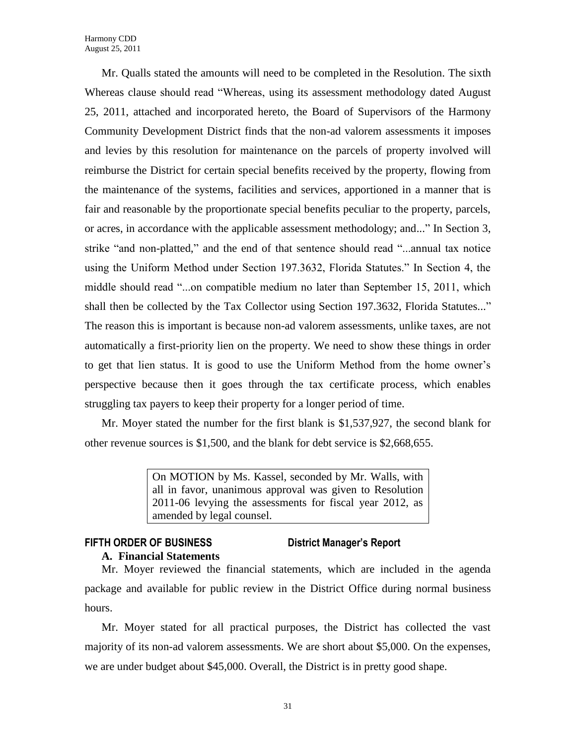Mr. Qualls stated the amounts will need to be completed in the Resolution. The sixth Whereas clause should read "Whereas, using its assessment methodology dated August 25, 2011, attached and incorporated hereto, the Board of Supervisors of the Harmony Community Development District finds that the non-ad valorem assessments it imposes and levies by this resolution for maintenance on the parcels of property involved will reimburse the District for certain special benefits received by the property, flowing from the maintenance of the systems, facilities and services, apportioned in a manner that is fair and reasonable by the proportionate special benefits peculiar to the property, parcels, or acres, in accordance with the applicable assessment methodology; and..." In Section 3, strike "and non-platted," and the end of that sentence should read "...annual tax notice using the Uniform Method under Section 197.3632, Florida Statutes." In Section 4, the middle should read "...on compatible medium no later than September 15, 2011, which shall then be collected by the Tax Collector using Section 197.3632, Florida Statutes..." The reason this is important is because non-ad valorem assessments, unlike taxes, are not automatically a first-priority lien on the property. We need to show these things in order to get that lien status. It is good to use the Uniform Method from the home owner's perspective because then it goes through the tax certificate process, which enables struggling tax payers to keep their property for a longer period of time.

Mr. Moyer stated the number for the first blank is \$1,537,927, the second blank for other revenue sources is \$1,500, and the blank for debt service is \$2,668,655.

> On MOTION by Ms. Kassel, seconded by Mr. Walls, with all in favor, unanimous approval was given to Resolution 2011-06 levying the assessments for fiscal year 2012, as amended by legal counsel.

## **FIFTH ORDER OF BUSINESS District Manager's Report**

**A. Financial Statements** Mr. Moyer reviewed the financial statements, which are included in the agenda package and available for public review in the District Office during normal business hours.

Mr. Moyer stated for all practical purposes, the District has collected the vast majority of its non-ad valorem assessments. We are short about \$5,000. On the expenses, we are under budget about \$45,000. Overall, the District is in pretty good shape.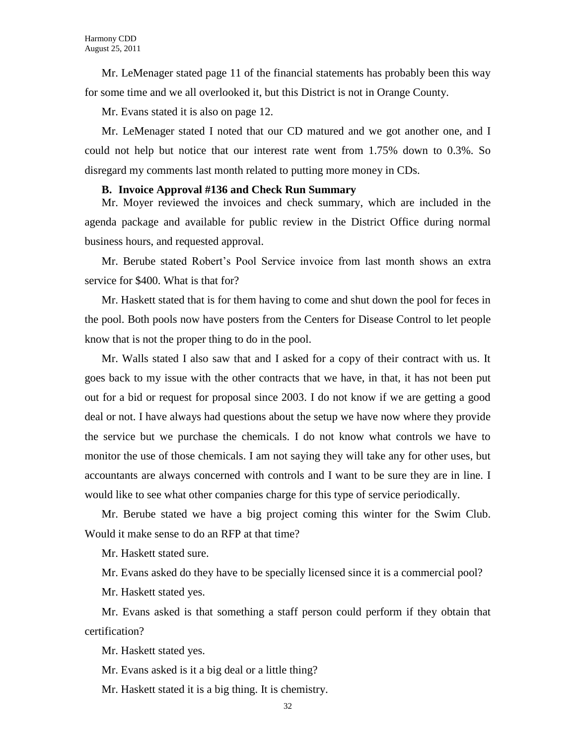Mr. LeMenager stated page 11 of the financial statements has probably been this way for some time and we all overlooked it, but this District is not in Orange County.

Mr. Evans stated it is also on page 12.

Mr. LeMenager stated I noted that our CD matured and we got another one, and I could not help but notice that our interest rate went from 1.75% down to 0.3%. So disregard my comments last month related to putting more money in CDs.

#### **B. Invoice Approval #136 and Check Run Summary**

Mr. Moyer reviewed the invoices and check summary, which are included in the agenda package and available for public review in the District Office during normal business hours, and requested approval.

Mr. Berube stated Robert's Pool Service invoice from last month shows an extra service for \$400. What is that for?

Mr. Haskett stated that is for them having to come and shut down the pool for feces in the pool. Both pools now have posters from the Centers for Disease Control to let people know that is not the proper thing to do in the pool.

Mr. Walls stated I also saw that and I asked for a copy of their contract with us. It goes back to my issue with the other contracts that we have, in that, it has not been put out for a bid or request for proposal since 2003. I do not know if we are getting a good deal or not. I have always had questions about the setup we have now where they provide the service but we purchase the chemicals. I do not know what controls we have to monitor the use of those chemicals. I am not saying they will take any for other uses, but accountants are always concerned with controls and I want to be sure they are in line. I would like to see what other companies charge for this type of service periodically.

Mr. Berube stated we have a big project coming this winter for the Swim Club. Would it make sense to do an RFP at that time?

Mr. Haskett stated sure.

Mr. Evans asked do they have to be specially licensed since it is a commercial pool?

Mr. Haskett stated yes.

Mr. Evans asked is that something a staff person could perform if they obtain that certification?

Mr. Haskett stated yes.

Mr. Evans asked is it a big deal or a little thing?

Mr. Haskett stated it is a big thing. It is chemistry.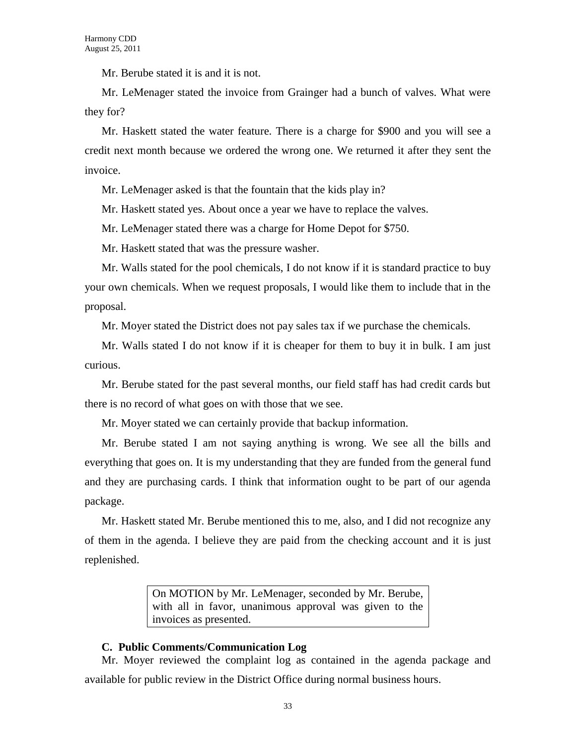Mr. Berube stated it is and it is not.

Mr. LeMenager stated the invoice from Grainger had a bunch of valves. What were they for?

Mr. Haskett stated the water feature. There is a charge for \$900 and you will see a credit next month because we ordered the wrong one. We returned it after they sent the invoice.

Mr. LeMenager asked is that the fountain that the kids play in?

Mr. Haskett stated yes. About once a year we have to replace the valves.

Mr. LeMenager stated there was a charge for Home Depot for \$750.

Mr. Haskett stated that was the pressure washer.

Mr. Walls stated for the pool chemicals, I do not know if it is standard practice to buy your own chemicals. When we request proposals, I would like them to include that in the proposal.

Mr. Moyer stated the District does not pay sales tax if we purchase the chemicals.

Mr. Walls stated I do not know if it is cheaper for them to buy it in bulk. I am just curious.

Mr. Berube stated for the past several months, our field staff has had credit cards but there is no record of what goes on with those that we see.

Mr. Moyer stated we can certainly provide that backup information.

Mr. Berube stated I am not saying anything is wrong. We see all the bills and everything that goes on. It is my understanding that they are funded from the general fund and they are purchasing cards. I think that information ought to be part of our agenda package.

Mr. Haskett stated Mr. Berube mentioned this to me, also, and I did not recognize any of them in the agenda. I believe they are paid from the checking account and it is just replenished.

> On MOTION by Mr. LeMenager, seconded by Mr. Berube, with all in favor, unanimous approval was given to the invoices as presented.

### **C. Public Comments/Communication Log**

Mr. Moyer reviewed the complaint log as contained in the agenda package and available for public review in the District Office during normal business hours.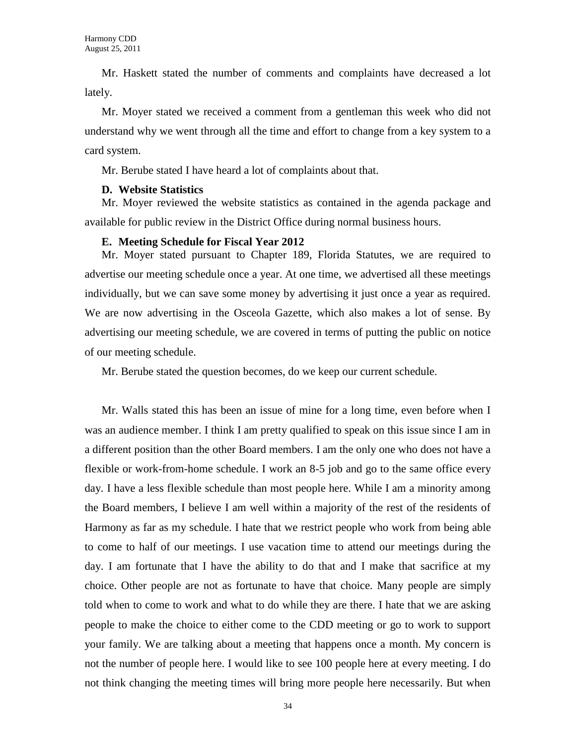Mr. Haskett stated the number of comments and complaints have decreased a lot lately.

Mr. Moyer stated we received a comment from a gentleman this week who did not understand why we went through all the time and effort to change from a key system to a card system.

Mr. Berube stated I have heard a lot of complaints about that.

### **D. Website Statistics**

Mr. Moyer reviewed the website statistics as contained in the agenda package and available for public review in the District Office during normal business hours.

## **E. Meeting Schedule for Fiscal Year 2012**

Mr. Moyer stated pursuant to Chapter 189, Florida Statutes, we are required to advertise our meeting schedule once a year. At one time, we advertised all these meetings individually, but we can save some money by advertising it just once a year as required. We are now advertising in the Osceola Gazette, which also makes a lot of sense. By advertising our meeting schedule, we are covered in terms of putting the public on notice of our meeting schedule.

Mr. Berube stated the question becomes, do we keep our current schedule.

Mr. Walls stated this has been an issue of mine for a long time, even before when I was an audience member. I think I am pretty qualified to speak on this issue since I am in a different position than the other Board members. I am the only one who does not have a flexible or work-from-home schedule. I work an 8-5 job and go to the same office every day. I have a less flexible schedule than most people here. While I am a minority among the Board members, I believe I am well within a majority of the rest of the residents of Harmony as far as my schedule. I hate that we restrict people who work from being able to come to half of our meetings. I use vacation time to attend our meetings during the day. I am fortunate that I have the ability to do that and I make that sacrifice at my choice. Other people are not as fortunate to have that choice. Many people are simply told when to come to work and what to do while they are there. I hate that we are asking people to make the choice to either come to the CDD meeting or go to work to support your family. We are talking about a meeting that happens once a month. My concern is not the number of people here. I would like to see 100 people here at every meeting. I do not think changing the meeting times will bring more people here necessarily. But when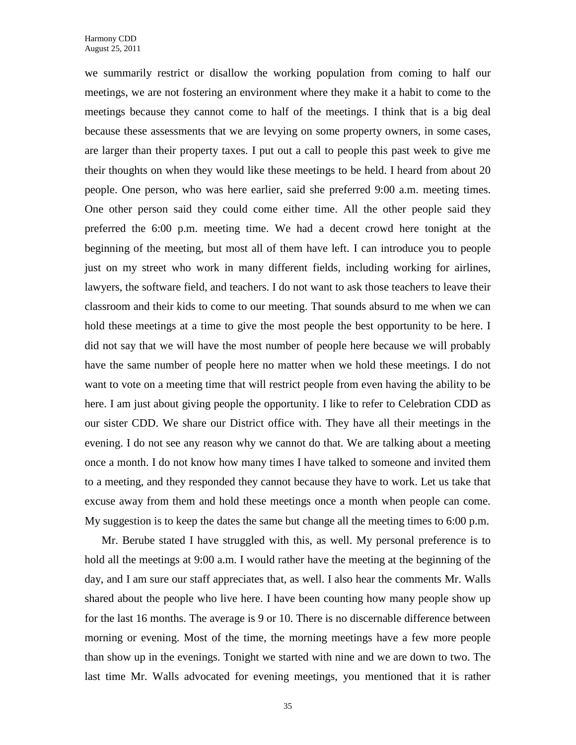we summarily restrict or disallow the working population from coming to half our meetings, we are not fostering an environment where they make it a habit to come to the meetings because they cannot come to half of the meetings. I think that is a big deal because these assessments that we are levying on some property owners, in some cases, are larger than their property taxes. I put out a call to people this past week to give me their thoughts on when they would like these meetings to be held. I heard from about 20 people. One person, who was here earlier, said she preferred 9:00 a.m. meeting times. One other person said they could come either time. All the other people said they preferred the 6:00 p.m. meeting time. We had a decent crowd here tonight at the beginning of the meeting, but most all of them have left. I can introduce you to people just on my street who work in many different fields, including working for airlines, lawyers, the software field, and teachers. I do not want to ask those teachers to leave their classroom and their kids to come to our meeting. That sounds absurd to me when we can hold these meetings at a time to give the most people the best opportunity to be here. I did not say that we will have the most number of people here because we will probably have the same number of people here no matter when we hold these meetings. I do not want to vote on a meeting time that will restrict people from even having the ability to be here. I am just about giving people the opportunity. I like to refer to Celebration CDD as our sister CDD. We share our District office with. They have all their meetings in the evening. I do not see any reason why we cannot do that. We are talking about a meeting once a month. I do not know how many times I have talked to someone and invited them to a meeting, and they responded they cannot because they have to work. Let us take that excuse away from them and hold these meetings once a month when people can come. My suggestion is to keep the dates the same but change all the meeting times to 6:00 p.m.

Mr. Berube stated I have struggled with this, as well. My personal preference is to hold all the meetings at 9:00 a.m. I would rather have the meeting at the beginning of the day, and I am sure our staff appreciates that, as well. I also hear the comments Mr. Walls shared about the people who live here. I have been counting how many people show up for the last 16 months. The average is 9 or 10. There is no discernable difference between morning or evening. Most of the time, the morning meetings have a few more people than show up in the evenings. Tonight we started with nine and we are down to two. The last time Mr. Walls advocated for evening meetings, you mentioned that it is rather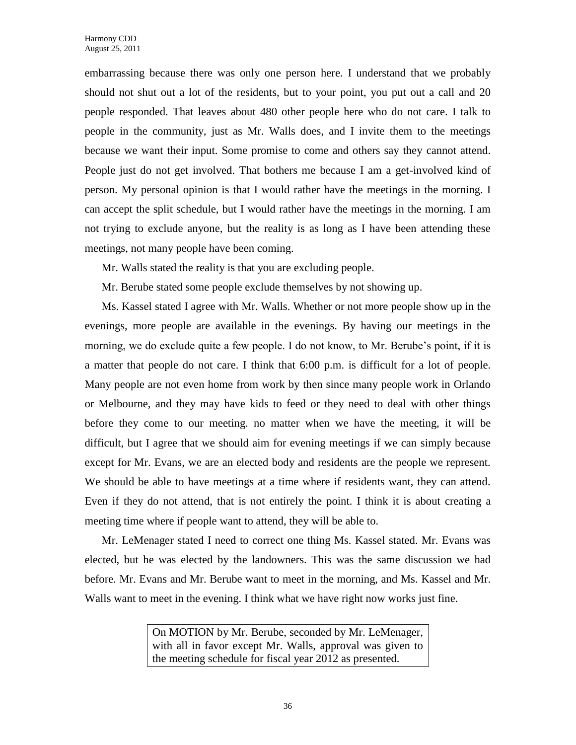embarrassing because there was only one person here. I understand that we probably should not shut out a lot of the residents, but to your point, you put out a call and 20 people responded. That leaves about 480 other people here who do not care. I talk to people in the community, just as Mr. Walls does, and I invite them to the meetings because we want their input. Some promise to come and others say they cannot attend. People just do not get involved. That bothers me because I am a get-involved kind of person. My personal opinion is that I would rather have the meetings in the morning. I can accept the split schedule, but I would rather have the meetings in the morning. I am not trying to exclude anyone, but the reality is as long as I have been attending these meetings, not many people have been coming.

Mr. Walls stated the reality is that you are excluding people.

Mr. Berube stated some people exclude themselves by not showing up.

Ms. Kassel stated I agree with Mr. Walls. Whether or not more people show up in the evenings, more people are available in the evenings. By having our meetings in the morning, we do exclude quite a few people. I do not know, to Mr. Berube's point, if it is a matter that people do not care. I think that 6:00 p.m. is difficult for a lot of people. Many people are not even home from work by then since many people work in Orlando or Melbourne, and they may have kids to feed or they need to deal with other things before they come to our meeting. no matter when we have the meeting, it will be difficult, but I agree that we should aim for evening meetings if we can simply because except for Mr. Evans, we are an elected body and residents are the people we represent. We should be able to have meetings at a time where if residents want, they can attend. Even if they do not attend, that is not entirely the point. I think it is about creating a meeting time where if people want to attend, they will be able to.

Mr. LeMenager stated I need to correct one thing Ms. Kassel stated. Mr. Evans was elected, but he was elected by the landowners. This was the same discussion we had before. Mr. Evans and Mr. Berube want to meet in the morning, and Ms. Kassel and Mr. Walls want to meet in the evening. I think what we have right now works just fine.

> On MOTION by Mr. Berube, seconded by Mr. LeMenager, with all in favor except Mr. Walls, approval was given to the meeting schedule for fiscal year 2012 as presented.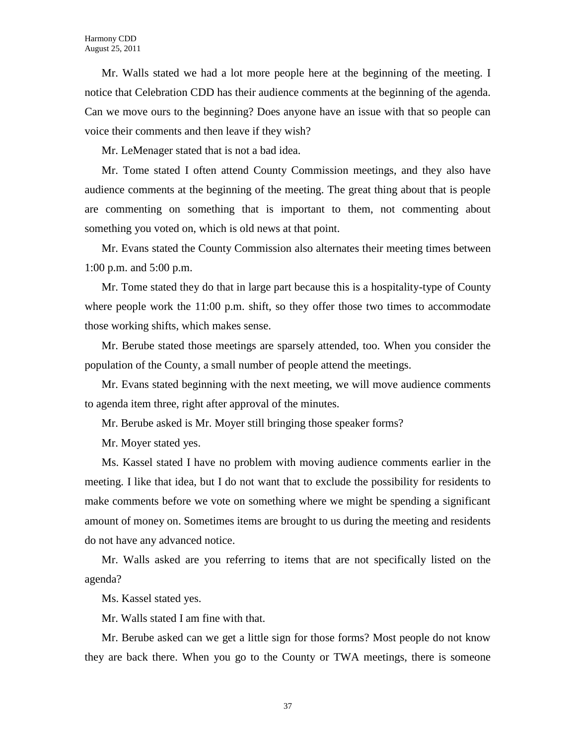Mr. Walls stated we had a lot more people here at the beginning of the meeting. I notice that Celebration CDD has their audience comments at the beginning of the agenda. Can we move ours to the beginning? Does anyone have an issue with that so people can voice their comments and then leave if they wish?

Mr. LeMenager stated that is not a bad idea.

Mr. Tome stated I often attend County Commission meetings, and they also have audience comments at the beginning of the meeting. The great thing about that is people are commenting on something that is important to them, not commenting about something you voted on, which is old news at that point.

Mr. Evans stated the County Commission also alternates their meeting times between 1:00 p.m. and 5:00 p.m.

Mr. Tome stated they do that in large part because this is a hospitality-type of County where people work the 11:00 p.m. shift, so they offer those two times to accommodate those working shifts, which makes sense.

Mr. Berube stated those meetings are sparsely attended, too. When you consider the population of the County, a small number of people attend the meetings.

Mr. Evans stated beginning with the next meeting, we will move audience comments to agenda item three, right after approval of the minutes.

Mr. Berube asked is Mr. Moyer still bringing those speaker forms?

Mr. Moyer stated yes.

Ms. Kassel stated I have no problem with moving audience comments earlier in the meeting. I like that idea, but I do not want that to exclude the possibility for residents to make comments before we vote on something where we might be spending a significant amount of money on. Sometimes items are brought to us during the meeting and residents do not have any advanced notice.

Mr. Walls asked are you referring to items that are not specifically listed on the agenda?

Ms. Kassel stated yes.

Mr. Walls stated I am fine with that.

Mr. Berube asked can we get a little sign for those forms? Most people do not know they are back there. When you go to the County or TWA meetings, there is someone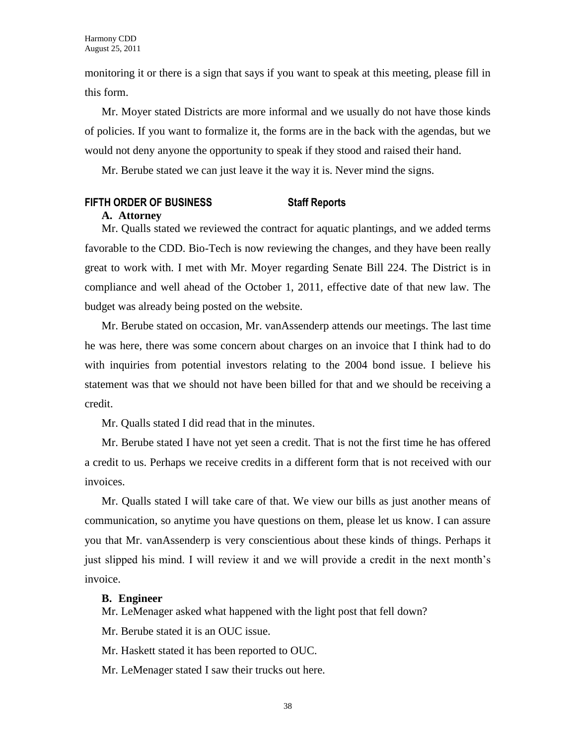monitoring it or there is a sign that says if you want to speak at this meeting, please fill in this form.

Mr. Moyer stated Districts are more informal and we usually do not have those kinds of policies. If you want to formalize it, the forms are in the back with the agendas, but we would not deny anyone the opportunity to speak if they stood and raised their hand.

Mr. Berube stated we can just leave it the way it is. Never mind the signs.

## **FIFTH ORDER OF BUSINESS Staff Reports**

### **A. Attorney**

Mr. Qualls stated we reviewed the contract for aquatic plantings, and we added terms favorable to the CDD. Bio-Tech is now reviewing the changes, and they have been really great to work with. I met with Mr. Moyer regarding Senate Bill 224. The District is in compliance and well ahead of the October 1, 2011, effective date of that new law. The budget was already being posted on the website.

Mr. Berube stated on occasion, Mr. vanAssenderp attends our meetings. The last time he was here, there was some concern about charges on an invoice that I think had to do with inquiries from potential investors relating to the 2004 bond issue. I believe his statement was that we should not have been billed for that and we should be receiving a credit.

Mr. Qualls stated I did read that in the minutes.

Mr. Berube stated I have not yet seen a credit. That is not the first time he has offered a credit to us. Perhaps we receive credits in a different form that is not received with our invoices.

Mr. Qualls stated I will take care of that. We view our bills as just another means of communication, so anytime you have questions on them, please let us know. I can assure you that Mr. vanAssenderp is very conscientious about these kinds of things. Perhaps it just slipped his mind. I will review it and we will provide a credit in the next month's invoice.

## **B. Engineer**

Mr. LeMenager asked what happened with the light post that fell down?

Mr. Berube stated it is an OUC issue.

Mr. Haskett stated it has been reported to OUC.

Mr. LeMenager stated I saw their trucks out here.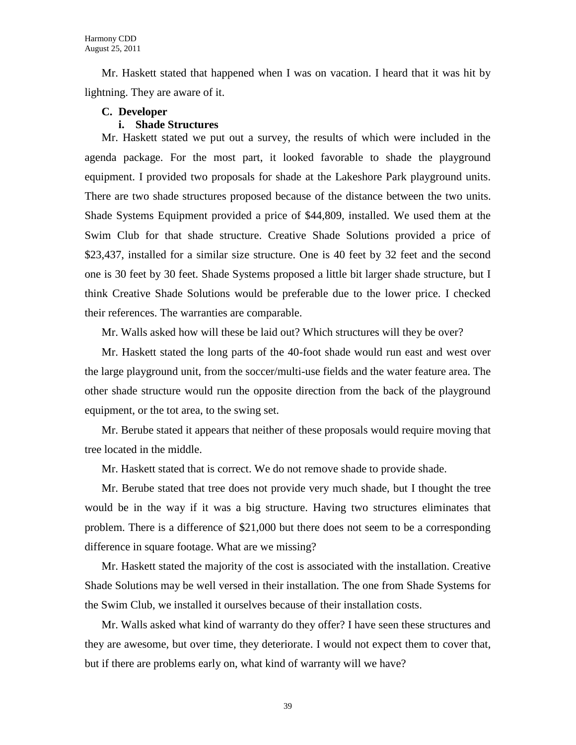Mr. Haskett stated that happened when I was on vacation. I heard that it was hit by lightning. They are aware of it.

## **C. Developer**

## **i. Shade Structures**

Mr. Haskett stated we put out a survey, the results of which were included in the agenda package. For the most part, it looked favorable to shade the playground equipment. I provided two proposals for shade at the Lakeshore Park playground units. There are two shade structures proposed because of the distance between the two units. Shade Systems Equipment provided a price of \$44,809, installed. We used them at the Swim Club for that shade structure. Creative Shade Solutions provided a price of \$23,437, installed for a similar size structure. One is 40 feet by 32 feet and the second one is 30 feet by 30 feet. Shade Systems proposed a little bit larger shade structure, but I think Creative Shade Solutions would be preferable due to the lower price. I checked their references. The warranties are comparable.

Mr. Walls asked how will these be laid out? Which structures will they be over?

Mr. Haskett stated the long parts of the 40-foot shade would run east and west over the large playground unit, from the soccer/multi-use fields and the water feature area. The other shade structure would run the opposite direction from the back of the playground equipment, or the tot area, to the swing set.

Mr. Berube stated it appears that neither of these proposals would require moving that tree located in the middle.

Mr. Haskett stated that is correct. We do not remove shade to provide shade.

Mr. Berube stated that tree does not provide very much shade, but I thought the tree would be in the way if it was a big structure. Having two structures eliminates that problem. There is a difference of \$21,000 but there does not seem to be a corresponding difference in square footage. What are we missing?

Mr. Haskett stated the majority of the cost is associated with the installation. Creative Shade Solutions may be well versed in their installation. The one from Shade Systems for the Swim Club, we installed it ourselves because of their installation costs.

Mr. Walls asked what kind of warranty do they offer? I have seen these structures and they are awesome, but over time, they deteriorate. I would not expect them to cover that, but if there are problems early on, what kind of warranty will we have?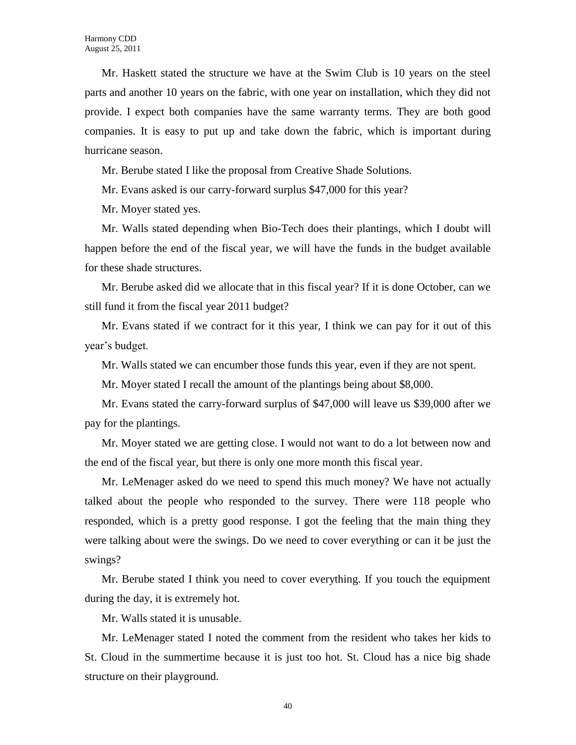Mr. Haskett stated the structure we have at the Swim Club is 10 years on the steel parts and another 10 years on the fabric, with one year on installation, which they did not provide. I expect both companies have the same warranty terms. They are both good companies. It is easy to put up and take down the fabric, which is important during hurricane season.

Mr. Berube stated I like the proposal from Creative Shade Solutions.

Mr. Evans asked is our carry-forward surplus \$47,000 for this year?

Mr. Moyer stated yes.

Mr. Walls stated depending when Bio-Tech does their plantings, which I doubt will happen before the end of the fiscal year, we will have the funds in the budget available for these shade structures.

Mr. Berube asked did we allocate that in this fiscal year? If it is done October, can we still fund it from the fiscal year 2011 budget?

Mr. Evans stated if we contract for it this year, I think we can pay for it out of this year's budget.

Mr. Walls stated we can encumber those funds this year, even if they are not spent.

Mr. Moyer stated I recall the amount of the plantings being about \$8,000.

Mr. Evans stated the carry-forward surplus of \$47,000 will leave us \$39,000 after we pay for the plantings.

Mr. Moyer stated we are getting close. I would not want to do a lot between now and the end of the fiscal year, but there is only one more month this fiscal year.

Mr. LeMenager asked do we need to spend this much money? We have not actually talked about the people who responded to the survey. There were 118 people who responded, which is a pretty good response. I got the feeling that the main thing they were talking about were the swings. Do we need to cover everything or can it be just the swings?

Mr. Berube stated I think you need to cover everything. If you touch the equipment during the day, it is extremely hot.

Mr. Walls stated it is unusable.

Mr. LeMenager stated I noted the comment from the resident who takes her kids to St. Cloud in the summertime because it is just too hot. St. Cloud has a nice big shade structure on their playground.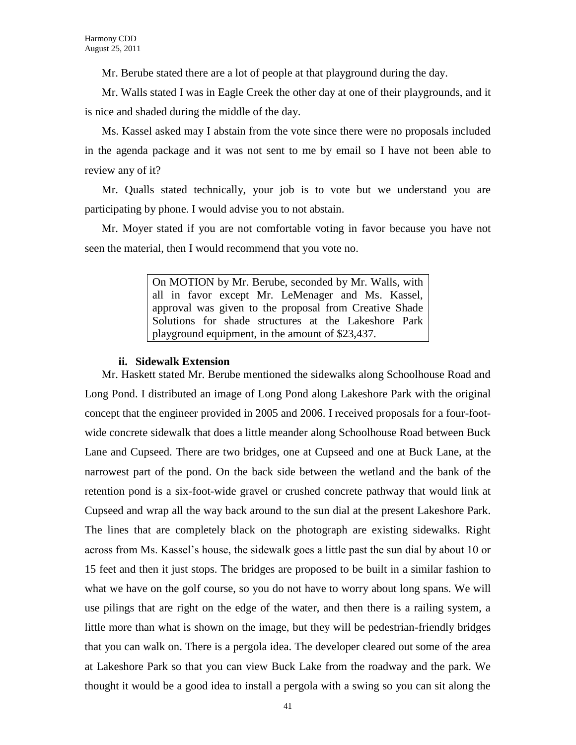Mr. Berube stated there are a lot of people at that playground during the day.

Mr. Walls stated I was in Eagle Creek the other day at one of their playgrounds, and it is nice and shaded during the middle of the day.

Ms. Kassel asked may I abstain from the vote since there were no proposals included in the agenda package and it was not sent to me by email so I have not been able to review any of it?

Mr. Qualls stated technically, your job is to vote but we understand you are participating by phone. I would advise you to not abstain.

Mr. Moyer stated if you are not comfortable voting in favor because you have not seen the material, then I would recommend that you vote no.

> On MOTION by Mr. Berube, seconded by Mr. Walls, with all in favor except Mr. LeMenager and Ms. Kassel, approval was given to the proposal from Creative Shade Solutions for shade structures at the Lakeshore Park playground equipment, in the amount of \$23,437.

### **ii. Sidewalk Extension**

Mr. Haskett stated Mr. Berube mentioned the sidewalks along Schoolhouse Road and Long Pond. I distributed an image of Long Pond along Lakeshore Park with the original concept that the engineer provided in 2005 and 2006. I received proposals for a four-footwide concrete sidewalk that does a little meander along Schoolhouse Road between Buck Lane and Cupseed. There are two bridges, one at Cupseed and one at Buck Lane, at the narrowest part of the pond. On the back side between the wetland and the bank of the retention pond is a six-foot-wide gravel or crushed concrete pathway that would link at Cupseed and wrap all the way back around to the sun dial at the present Lakeshore Park. The lines that are completely black on the photograph are existing sidewalks. Right across from Ms. Kassel's house, the sidewalk goes a little past the sun dial by about 10 or 15 feet and then it just stops. The bridges are proposed to be built in a similar fashion to what we have on the golf course, so you do not have to worry about long spans. We will use pilings that are right on the edge of the water, and then there is a railing system, a little more than what is shown on the image, but they will be pedestrian-friendly bridges that you can walk on. There is a pergola idea. The developer cleared out some of the area at Lakeshore Park so that you can view Buck Lake from the roadway and the park. We thought it would be a good idea to install a pergola with a swing so you can sit along the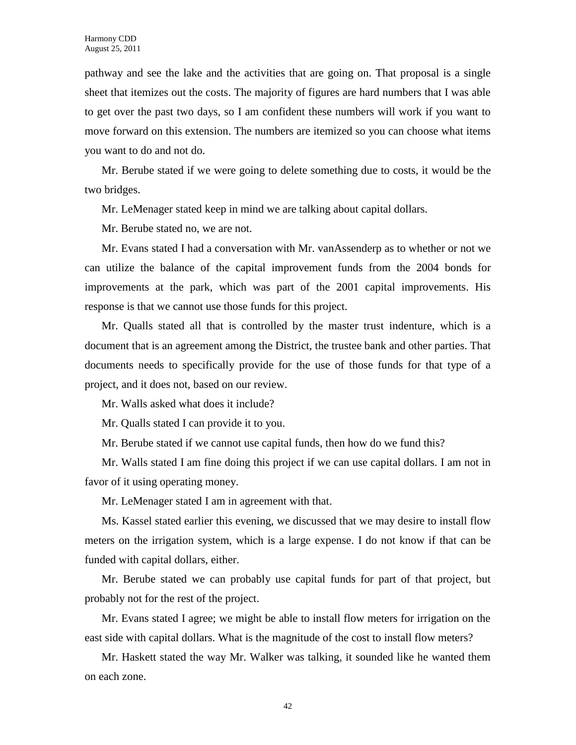pathway and see the lake and the activities that are going on. That proposal is a single sheet that itemizes out the costs. The majority of figures are hard numbers that I was able to get over the past two days, so I am confident these numbers will work if you want to move forward on this extension. The numbers are itemized so you can choose what items you want to do and not do.

Mr. Berube stated if we were going to delete something due to costs, it would be the two bridges.

Mr. LeMenager stated keep in mind we are talking about capital dollars.

Mr. Berube stated no, we are not.

Mr. Evans stated I had a conversation with Mr. vanAssenderp as to whether or not we can utilize the balance of the capital improvement funds from the 2004 bonds for improvements at the park, which was part of the 2001 capital improvements. His response is that we cannot use those funds for this project.

Mr. Qualls stated all that is controlled by the master trust indenture, which is a document that is an agreement among the District, the trustee bank and other parties. That documents needs to specifically provide for the use of those funds for that type of a project, and it does not, based on our review.

Mr. Walls asked what does it include?

Mr. Qualls stated I can provide it to you.

Mr. Berube stated if we cannot use capital funds, then how do we fund this?

Mr. Walls stated I am fine doing this project if we can use capital dollars. I am not in favor of it using operating money.

Mr. LeMenager stated I am in agreement with that.

Ms. Kassel stated earlier this evening, we discussed that we may desire to install flow meters on the irrigation system, which is a large expense. I do not know if that can be funded with capital dollars, either.

Mr. Berube stated we can probably use capital funds for part of that project, but probably not for the rest of the project.

Mr. Evans stated I agree; we might be able to install flow meters for irrigation on the east side with capital dollars. What is the magnitude of the cost to install flow meters?

Mr. Haskett stated the way Mr. Walker was talking, it sounded like he wanted them on each zone.

42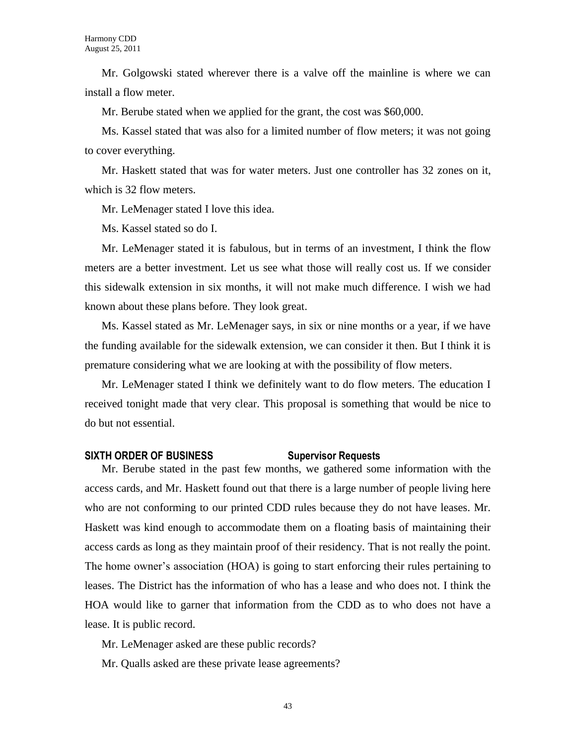Mr. Golgowski stated wherever there is a valve off the mainline is where we can install a flow meter.

Mr. Berube stated when we applied for the grant, the cost was \$60,000.

Ms. Kassel stated that was also for a limited number of flow meters; it was not going to cover everything.

Mr. Haskett stated that was for water meters. Just one controller has 32 zones on it, which is 32 flow meters.

Mr. LeMenager stated I love this idea.

Ms. Kassel stated so do I.

Mr. LeMenager stated it is fabulous, but in terms of an investment, I think the flow meters are a better investment. Let us see what those will really cost us. If we consider this sidewalk extension in six months, it will not make much difference. I wish we had known about these plans before. They look great.

Ms. Kassel stated as Mr. LeMenager says, in six or nine months or a year, if we have the funding available for the sidewalk extension, we can consider it then. But I think it is premature considering what we are looking at with the possibility of flow meters.

Mr. LeMenager stated I think we definitely want to do flow meters. The education I received tonight made that very clear. This proposal is something that would be nice to do but not essential.

## **SIXTH ORDER OF BUSINESS Supervisor Requests**

Mr. Berube stated in the past few months, we gathered some information with the access cards, and Mr. Haskett found out that there is a large number of people living here who are not conforming to our printed CDD rules because they do not have leases. Mr. Haskett was kind enough to accommodate them on a floating basis of maintaining their access cards as long as they maintain proof of their residency. That is not really the point. The home owner's association (HOA) is going to start enforcing their rules pertaining to leases. The District has the information of who has a lease and who does not. I think the HOA would like to garner that information from the CDD as to who does not have a lease. It is public record.

Mr. LeMenager asked are these public records?

Mr. Qualls asked are these private lease agreements?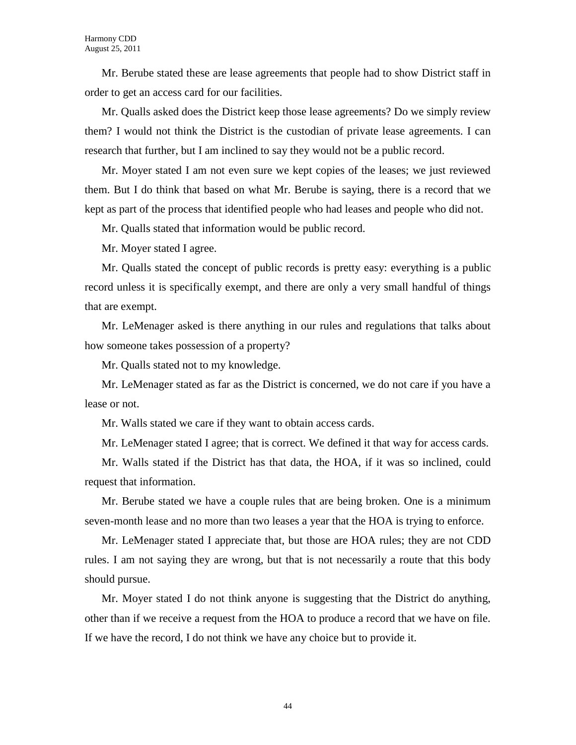Mr. Berube stated these are lease agreements that people had to show District staff in order to get an access card for our facilities.

Mr. Qualls asked does the District keep those lease agreements? Do we simply review them? I would not think the District is the custodian of private lease agreements. I can research that further, but I am inclined to say they would not be a public record.

Mr. Moyer stated I am not even sure we kept copies of the leases; we just reviewed them. But I do think that based on what Mr. Berube is saying, there is a record that we kept as part of the process that identified people who had leases and people who did not.

Mr. Qualls stated that information would be public record.

Mr. Moyer stated I agree.

Mr. Qualls stated the concept of public records is pretty easy: everything is a public record unless it is specifically exempt, and there are only a very small handful of things that are exempt.

Mr. LeMenager asked is there anything in our rules and regulations that talks about how someone takes possession of a property?

Mr. Qualls stated not to my knowledge.

Mr. LeMenager stated as far as the District is concerned, we do not care if you have a lease or not.

Mr. Walls stated we care if they want to obtain access cards.

Mr. LeMenager stated I agree; that is correct. We defined it that way for access cards.

Mr. Walls stated if the District has that data, the HOA, if it was so inclined, could request that information.

Mr. Berube stated we have a couple rules that are being broken. One is a minimum seven-month lease and no more than two leases a year that the HOA is trying to enforce.

Mr. LeMenager stated I appreciate that, but those are HOA rules; they are not CDD rules. I am not saying they are wrong, but that is not necessarily a route that this body should pursue.

Mr. Moyer stated I do not think anyone is suggesting that the District do anything, other than if we receive a request from the HOA to produce a record that we have on file. If we have the record, I do not think we have any choice but to provide it.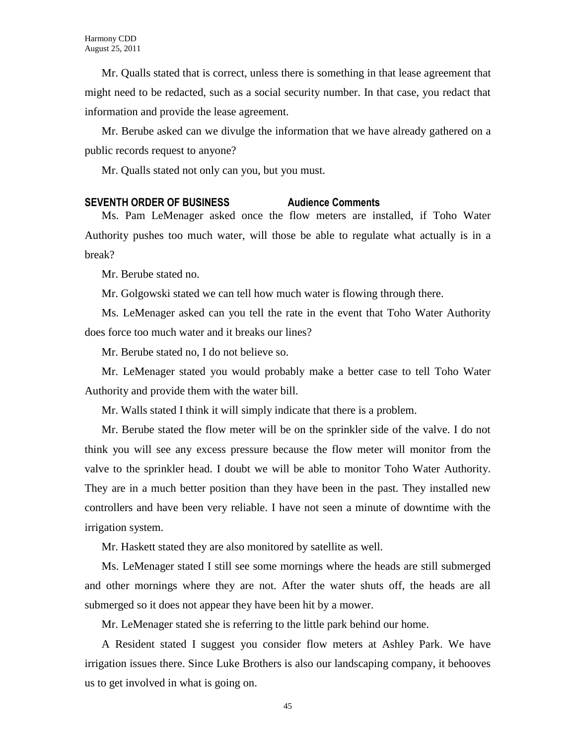Mr. Qualls stated that is correct, unless there is something in that lease agreement that might need to be redacted, such as a social security number. In that case, you redact that information and provide the lease agreement.

Mr. Berube asked can we divulge the information that we have already gathered on a public records request to anyone?

Mr. Qualls stated not only can you, but you must.

## **SEVENTH ORDER OF BUSINESS Audience Comments**

Ms. Pam LeMenager asked once the flow meters are installed, if Toho Water Authority pushes too much water, will those be able to regulate what actually is in a break?

Mr. Berube stated no.

Mr. Golgowski stated we can tell how much water is flowing through there.

Ms. LeMenager asked can you tell the rate in the event that Toho Water Authority does force too much water and it breaks our lines?

Mr. Berube stated no, I do not believe so.

Mr. LeMenager stated you would probably make a better case to tell Toho Water Authority and provide them with the water bill.

Mr. Walls stated I think it will simply indicate that there is a problem.

Mr. Berube stated the flow meter will be on the sprinkler side of the valve. I do not think you will see any excess pressure because the flow meter will monitor from the valve to the sprinkler head. I doubt we will be able to monitor Toho Water Authority. They are in a much better position than they have been in the past. They installed new controllers and have been very reliable. I have not seen a minute of downtime with the irrigation system.

Mr. Haskett stated they are also monitored by satellite as well.

Ms. LeMenager stated I still see some mornings where the heads are still submerged and other mornings where they are not. After the water shuts off, the heads are all submerged so it does not appear they have been hit by a mower.

Mr. LeMenager stated she is referring to the little park behind our home.

A Resident stated I suggest you consider flow meters at Ashley Park. We have irrigation issues there. Since Luke Brothers is also our landscaping company, it behooves us to get involved in what is going on.